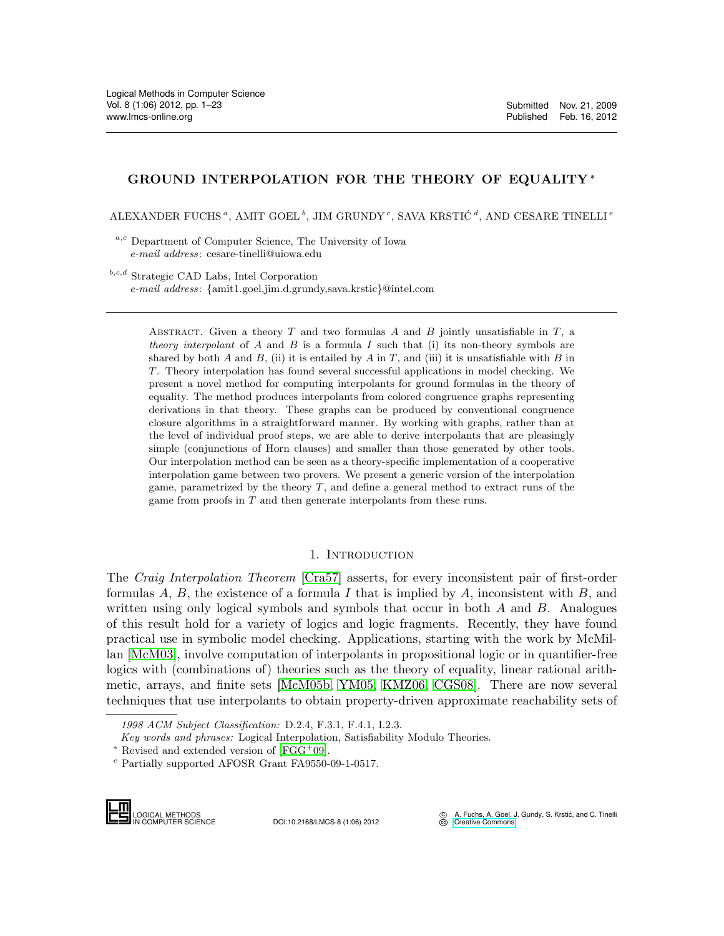# GROUND INTERPOLATION FOR THE THEORY OF EQUALITY\*

ALEXANDER FUCHS<sup> $a$ </sup>, AMIT GOEL<sup>b</sup>, JIM GRUNDY<sup>c</sup>, SAVA KRSTIĆ<sup> $d$ </sup>, AND CESARE TINELLI<sup>e</sup>

a,e Department of Computer Science, The University of Iowa e-mail address: cesare-tinelli@uiowa.edu

 $b,c,d$  Strategic CAD Labs, Intel Corporation e-mail address: {amit1.goel,jim.d.grundy,sava.krstic}@intel.com

> ABSTRACT. Given a theory T and two formulas A and B jointly unsatisfiable in  $T$ , a theory interpolant of A and B is a formula I such that (i) its non-theory symbols are shared by both A and B, (ii) it is entailed by A in T, and (iii) it is unsatisfiable with B in T. Theory interpolation has found several successful applications in model checking. We present a novel method for computing interpolants for ground formulas in the theory of equality. The method produces interpolants from colored congruence graphs representing derivations in that theory. These graphs can be produced by conventional congruence closure algorithms in a straightforward manner. By working with graphs, rather than at the level of individual proof steps, we are able to derive interpolants that are pleasingly simple (conjunctions of Horn clauses) and smaller than those generated by other tools. Our interpolation method can be seen as a theory-specific implementation of a cooperative interpolation game between two provers. We present a generic version of the interpolation game, parametrized by the theory T, and define a general method to extract runs of the game from proofs in T and then generate interpolants from these runs.

## 1. INTRODUCTION

The Craig Interpolation Theorem [\[Cra57\]](#page-21-0) asserts, for every inconsistent pair of first-order formulas A, B, the existence of a formula I that is implied by A, inconsistent with B, and written using only logical symbols and symbols that occur in both  $A$  and  $B$ . Analogues of this result hold for a variety of logics and logic fragments. Recently, they have found practical use in symbolic model checking. Applications, starting with the work by McMillan [\[McM03\]](#page-21-1), involve computation of interpolants in propositional logic or in quantifier-free logics with (combinations of) theories such as the theory of equality, linear rational arithmetic, arrays, and finite sets [\[McM05b,](#page-22-0) [YM05,](#page-22-1) [KMZ06,](#page-21-2) [CGS08\]](#page-21-3). There are now several techniques that use interpolants to obtain property-driven approximate reachability sets of metic, arrays, an<br>techniques that i<br>*1998 ACM Subje<br>Key words and p*<br>\* Revised and externation<br>Partially support<br>**LOGICAL METHODS**<br>COGICAL METHODS

1998 ACM Subject Classification: D.2.4, F.3.1, F.4.1, I.2.3.

Key words and phrases: Logical Interpolation, Satisfiability Modulo Theories.

LOGICAL METHODS<br>IN COMPUTER SCIENCE DOI:10.2168/LMCS-8 (1:06) 2012

 $*$  Revised and extended version of [\[FGG](#page-21-4)<sup>+</sup>09].

<sup>e</sup> Partially supported AFOSR Grant FA9550-09-1-0517.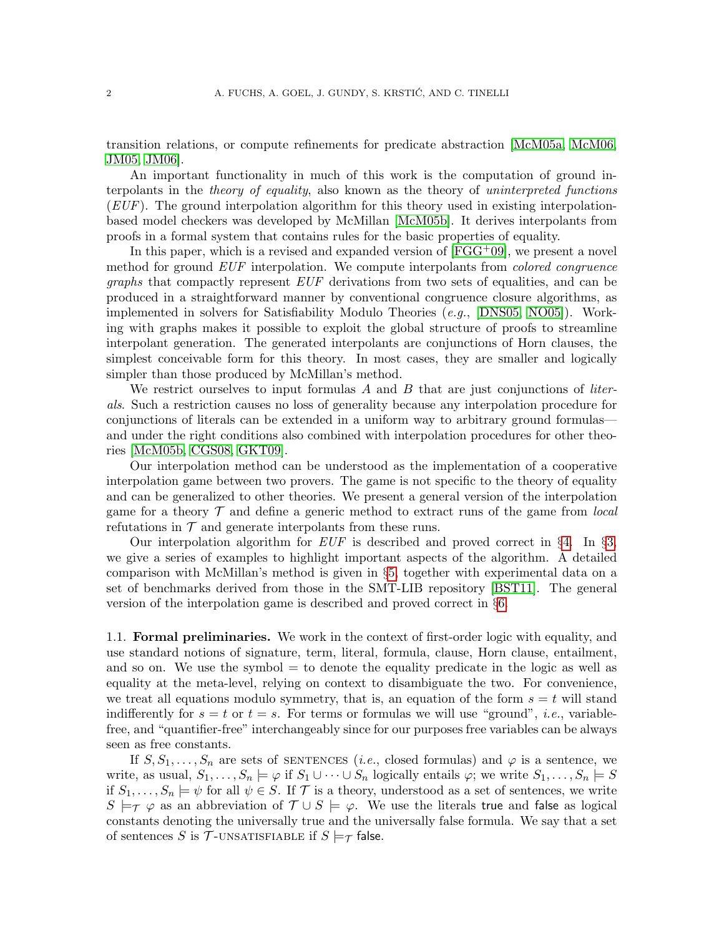transition relations, or compute refinements for predicate abstraction [\[McM05a,](#page-22-2) [McM06,](#page-22-3) [JM05,](#page-21-5) [JM06\]](#page-21-6).

An important functionality in much of this work is the computation of ground interpolants in the theory of equality, also known as the theory of uninterpreted functions  $(EUF)$ . The ground interpolation algorithm for this theory used in existing interpolationbased model checkers was developed by McMillan [\[McM05b\]](#page-22-0). It derives interpolants from proofs in a formal system that contains rules for the basic properties of equality.

In this paper, which is a revised and expanded version of  $[FGG^+09]$  $[FGG^+09]$ , we present a novel method for ground EUF interpolation. We compute interpolants from *colored congruence* graphs that compactly represent EUF derivations from two sets of equalities, and can be produced in a straightforward manner by conventional congruence closure algorithms, as implemented in solvers for Satisfiability Modulo Theories (e.g., [\[DNS05,](#page-21-7) [NO05\]](#page-22-4)). Working with graphs makes it possible to exploit the global structure of proofs to streamline interpolant generation. The generated interpolants are conjunctions of Horn clauses, the simplest conceivable form for this theory. In most cases, they are smaller and logically simpler than those produced by McMillan's method.

We restrict ourselves to input formulas  $A$  and  $B$  that are just conjunctions of *liter*als. Such a restriction causes no loss of generality because any interpolation procedure for conjunctions of literals can be extended in a uniform way to arbitrary ground formulas and under the right conditions also combined with interpolation procedures for other theories [\[McM05b,](#page-22-0) [CGS08,](#page-21-3) [GKT09\]](#page-21-8).

Our interpolation method can be understood as the implementation of a cooperative interpolation game between two provers. The game is not specific to the theory of equality and can be generalized to other theories. We present a general version of the interpolation game for a theory  $\mathcal T$  and define a generic method to extract runs of the game from *local* refutations in  $\mathcal T$  and generate interpolants from these runs.

Our interpolation algorithm for  $EUF$  is described and proved correct in §[4.](#page-4-0) In §[3,](#page-3-0) we give a series of examples to highlight important aspects of the algorithm. A detailed comparison with McMillan's method is given in §[5,](#page-11-0) together with experimental data on a set of benchmarks derived from those in the SMT-LIB repository [\[BST11\]](#page-21-9). The general version of the interpolation game is described and proved correct in §[6.](#page-14-0)

1.1. Formal preliminaries. We work in the context of first-order logic with equality, and use standard notions of signature, term, literal, formula, clause, Horn clause, entailment, and so on. We use the symbol  $=$  to denote the equality predicate in the logic as well as equality at the meta-level, relying on context to disambiguate the two. For convenience, we treat all equations modulo symmetry, that is, an equation of the form  $s = t$  will stand indifferently for  $s = t$  or  $t = s$ . For terms or formulas we will use "ground", *i.e.*, variablefree, and "quantifier-free" interchangeably since for our purposes free variables can be always seen as free constants.

If  $S, S_1, \ldots, S_n$  are sets of SENTENCES (*i.e.*, closed formulas) and  $\varphi$  is a sentence, we write, as usual,  $S_1, \ldots, S_n \models \varphi$  if  $S_1 \cup \cdots \cup S_n$  logically entails  $\varphi$ ; we write  $S_1, \ldots, S_n \models S$ if  $S_1, \ldots, S_n \models \psi$  for all  $\psi \in S$ . If T is a theory, understood as a set of sentences, we write  $S \models_{\mathcal{T}} \varphi$  as an abbreviation of  $\mathcal{T} \cup S \models \varphi$ . We use the literals true and false as logical constants denoting the universally true and the universally false formula. We say that a set of sentences S is T-UNSATISFIABLE if  $S \models_{\mathcal{T}}$  false.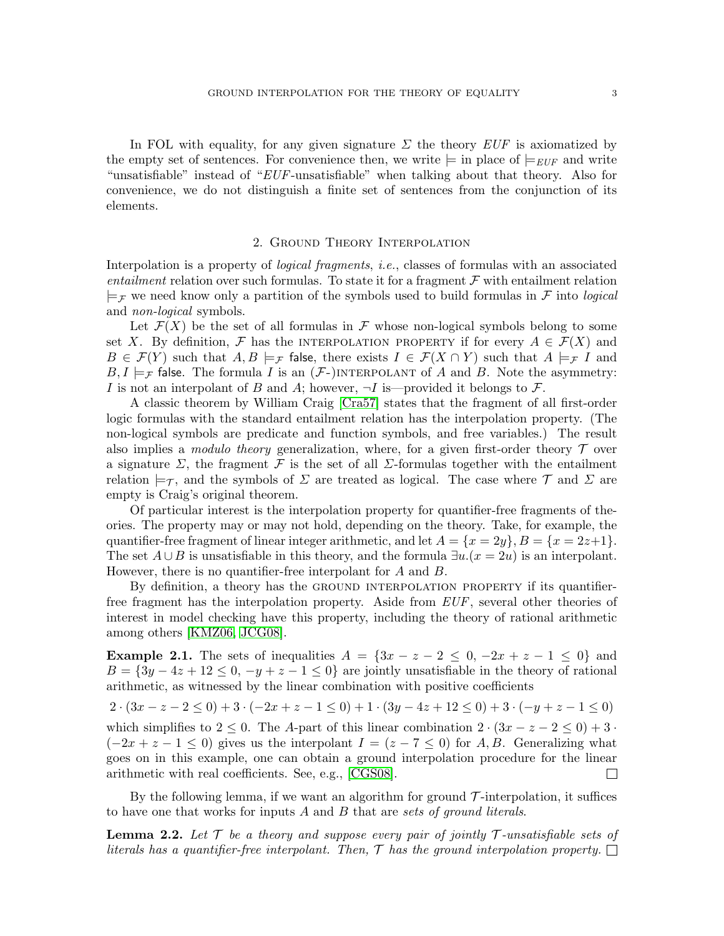In FOL with equality, for any given signature  $\Sigma$  the theory  $EUF$  is axiomatized by the empty set of sentences. For convenience then, we write  $\models$  in place of  $\models$ <sub>EUF</sub> and write "unsatisfiable" instead of "EUF-unsatisfiable" when talking about that theory. Also for convenience, we do not distinguish a finite set of sentences from the conjunction of its elements.

## 2. Ground Theory Interpolation

Interpolation is a property of *logical fragments*, *i.e.*, classes of formulas with an associated entailment relation over such formulas. To state it for a fragment  $\mathcal F$  with entailment relation  $\models$ F we need know only a partition of the symbols used to build formulas in F into *logical* and non-logical symbols.

Let  $\mathcal{F}(X)$  be the set of all formulas in F whose non-logical symbols belong to some set X. By definition, F has the INTERPOLATION PROPERTY if for every  $A \in \mathcal{F}(X)$  and  $B \in \mathcal{F}(Y)$  such that  $A, B \models_{\mathcal{F}}$  false, there exists  $I \in \mathcal{F}(X \cap Y)$  such that  $A \models_{\mathcal{F}} I$  and  $B, I \models_{\mathcal{F}}$  false. The formula I is an  $(\mathcal{F})$  INTERPOLANT of A and B. Note the asymmetry: I is not an interpolant of B and A; however,  $\neg I$  is—provided it belongs to F.

A classic theorem by William Craig [\[Cra57\]](#page-21-0) states that the fragment of all first-order logic formulas with the standard entailment relation has the interpolation property. (The non-logical symbols are predicate and function symbols, and free variables.) The result also implies a *modulo theory* generalization, where, for a given first-order theory  $\mathcal T$  over a signature  $\Sigma$ , the fragment F is the set of all  $\Sigma$ -formulas together with the entailment relation  $\models_{\mathcal{T}}$ , and the symbols of  $\Sigma$  are treated as logical. The case where  $\mathcal{T}$  and  $\Sigma$  are empty is Craig's original theorem.

Of particular interest is the interpolation property for quantifier-free fragments of theories. The property may or may not hold, depending on the theory. Take, for example, the quantifier-free fragment of linear integer arithmetic, and let  $A = \{x = 2y\}, B = \{x = 2z+1\}.$ The set  $A \cup B$  is unsatisfiable in this theory, and the formula  $\exists u.(x = 2u)$  is an interpolant. However, there is no quantifier-free interpolant for A and B.

By definition, a theory has the GROUND INTERPOLATION PROPERTY if its quantifierfree fragment has the interpolation property. Aside from EUF, several other theories of interest in model checking have this property, including the theory of rational arithmetic among others [\[KMZ06,](#page-21-2) [JCG08\]](#page-21-10).

**Example 2.1.** The sets of inequalities  $A = \{3x - z - 2 \leq 0, -2x + z - 1 \leq 0\}$  and  $B = \{3y - 4z + 12 \leq 0, -y + z - 1 \leq 0\}$  are jointly unsatisfiable in the theory of rational arithmetic, as witnessed by the linear combination with positive coefficients

 $2 \cdot (3x - z - 2 \le 0) + 3 \cdot (-2x + z - 1 \le 0) + 1 \cdot (3y - 4z + 12 \le 0) + 3 \cdot (-y + z - 1 \le 0)$ 

which simplifies to 2 ee 0. The A-part of this linear combination  $2 \cdot (3x - z - 2 \le 0) + 3 \cdot$  $(-2x + z - 1 \le 0)$  gives us the interpolant  $I = (z - 7 \le 0)$  for A, B. Generalizing what goes on in this example, one can obtain a ground interpolation procedure for the linear arithmetic with real coefficients. See, e.g., [\[CGS08\]](#page-21-3).  $\Box$ 

By the following lemma, if we want an algorithm for ground  $\mathcal{T}\text{-interpolation}$ , it suffices to have one that works for inputs  $A$  and  $B$  that are sets of ground literals.

**Lemma 2.2.** Let  $\mathcal{T}$  be a theory and suppose every pair of jointly  $\mathcal{T}$ -unsatisfiable sets of literals has a quantifier-free interpolant. Then,  $\mathcal T$  has the ground interpolation property.  $\Box$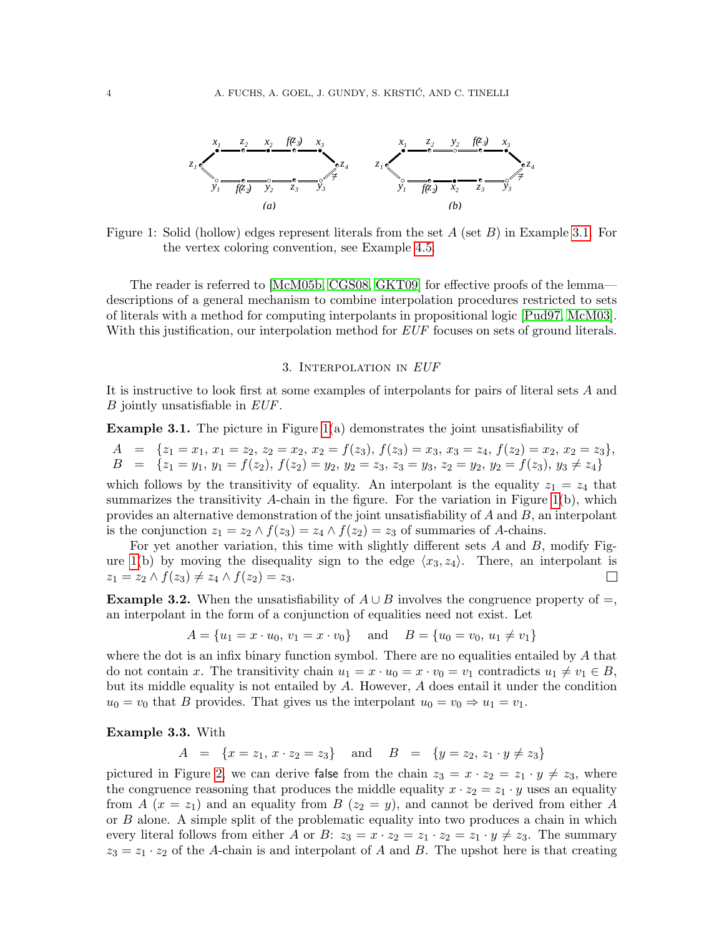

<span id="page-3-2"></span>Figure 1: Solid (hollow) edges represent literals from the set  $A$  (set  $B$ ) in Example [3.1.](#page-3-1) For the vertex coloring convention, see Example [4.5.](#page-5-0)

The reader is referred to [\[McM05b,](#page-22-0) [CGS08,](#page-21-3) [GKT09\]](#page-21-8) for effective proofs of the lemma descriptions of a general mechanism to combine interpolation procedures restricted to sets of literals with a method for computing interpolants in propositional logic [\[Pud97,](#page-22-5) [McM03\]](#page-21-1). With this justification, our interpolation method for EUF focuses on sets of ground literals.

#### 3. INTERPOLATION IN EUF

<span id="page-3-0"></span>It is instructive to look first at some examples of interpolants for pairs of literal sets A and B jointly unsatisfiable in EUF.

<span id="page-3-1"></span>**Example 3.1.** The picture in Figure  $1(a)$  demonstrates the joint unsatisfiability of

 $A = \{z_1 = x_1, x_1 = z_2, z_2 = x_2, x_2 = f(z_3), f(z_3) = x_3, x_3 = z_4, f(z_2) = x_2, x_2 = z_3\},\$  $B = \{z_1 = y_1, y_1 = f(z_2), f(z_2) = y_2, y_2 = z_3, z_3 = y_3, z_2 = y_2, y_2 = f(z_3), y_3 \neq z_4\}$ which follows by the transitivity of equality. An interpolant is the equality  $z_1 = z_4$  that summarizes the transitivity A-chain in the figure. For the variation in Figure  $1(b)$ , which provides an alternative demonstration of the joint unsatisfiability of  $A$  and  $B$ , an interpolant is the conjunction  $z_1 = z_2 \wedge f(z_3) = z_4 \wedge f(z_2) = z_3$  of summaries of A-chains.

For yet another variation, this time with slightly different sets  $A$  and  $B$ , modify Fig-ure [1\(](#page-3-2)b) by moving the disequality sign to the edge  $\langle x_3, z_4 \rangle$ . There, an interpolant is  $z_1 = z_2 \wedge f(z_3) \neq z_4 \wedge f(z_2) = z_3.$  $\Box$ 

<span id="page-3-4"></span>**Example 3.2.** When the unsatisfiability of  $A \cup B$  involves the congruence property of  $=$ , an interpolant in the form of a conjunction of equalities need not exist. Let

$$
A = \{u_1 = x \cdot u_0, v_1 = x \cdot v_0\}
$$
 and  $B = \{u_0 = v_0, u_1 \neq v_1\}$ 

where the dot is an infix binary function symbol. There are no equalities entailed by  $A$  that do not contain x. The transitivity chain  $u_1 = x \cdot u_0 = x \cdot v_0 = v_1$  contradicts  $u_1 \neq v_1 \in B$ , but its middle equality is not entailed by  $A$ . However,  $A$  does entail it under the condition  $u_0 = v_0$  that B provides. That gives us the interpolant  $u_0 = v_0 \Rightarrow u_1 = v_1$ .

<span id="page-3-3"></span>Example 3.3. With

 $A = \{x = z_1, x \cdot z_2 = z_3\}$  and  $B = \{y = z_2, z_1 \cdot y \neq z_3\}$ 

pictured in Figure [2,](#page-4-1) we can derive false from the chain  $z_3 = x \cdot z_2 = z_1 \cdot y \neq z_3$ , where the congruence reasoning that produces the middle equality  $x \cdot z_2 = z_1 \cdot y$  uses an equality from A  $(x = z_1)$  and an equality from B  $(z_2 = y)$ , and cannot be derived from either A or B alone. A simple split of the problematic equality into two produces a chain in which every literal follows from either A or B:  $z_3 = x \cdot z_2 = z_1 \cdot z_2 = z_1 \cdot y \neq z_3$ . The summary  $z_3 = z_1 \cdot z_2$  of the A-chain is and interpolant of A and B. The upshot here is that creating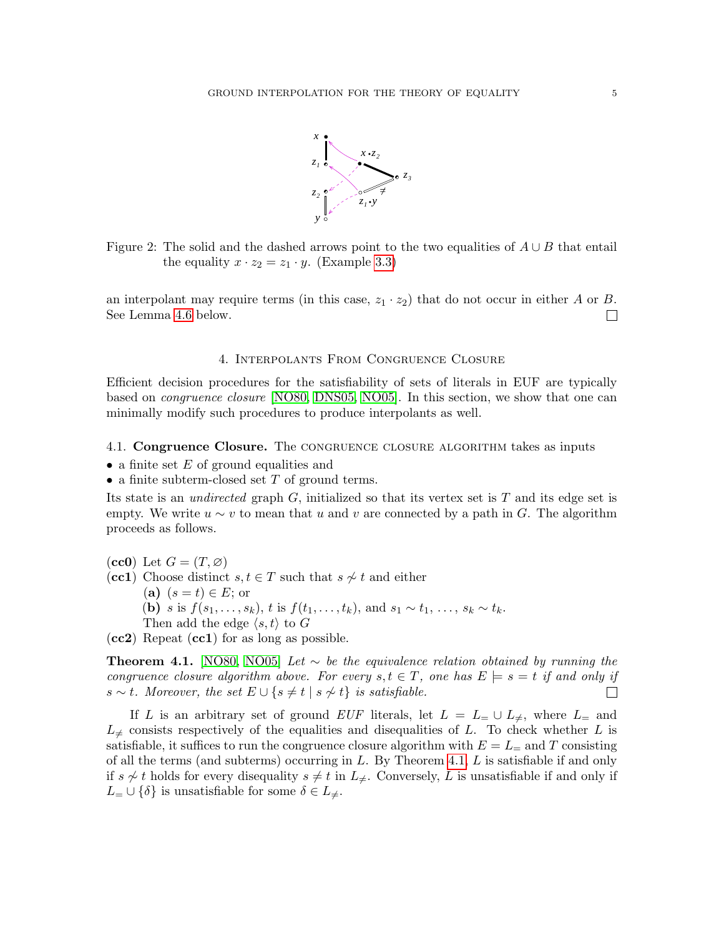

<span id="page-4-1"></span>Figure 2: The solid and the dashed arrows point to the two equalities of  $A \cup B$  that entail the equality  $x \cdot z_2 = z_1 \cdot y$ . (Example [3.3\)](#page-3-3)

an interpolant may require terms (in this case,  $z_1 \cdot z_2$ ) that do not occur in either A or B. See Lemma [4.6](#page-6-0) below.  $\Box$ 

### 4. Interpolants From Congruence Closure

<span id="page-4-0"></span>Efficient decision procedures for the satisfiability of sets of literals in EUF are typically based on congruence closure [\[NO80,](#page-22-6) [DNS05,](#page-21-7) [NO05\]](#page-22-4). In this section, we show that one can minimally modify such procedures to produce interpolants as well.

## <span id="page-4-3"></span>4.1. Congruence Closure. The CONGRUENCE CLOSURE ALGORITHM takes as inputs

- a finite set  $E$  of ground equalities and
- a finite subterm-closed set  $T$  of ground terms.

Its state is an *undirected* graph  $G$ , initialized so that its vertex set is  $T$  and its edge set is empty. We write  $u \sim v$  to mean that u and v are connected by a path in G. The algorithm proceeds as follows.

 $(cc0)$  Let  $G = (T, \emptyset)$ (cc1) Choose distinct  $s, t \in T$  such that  $s \not\sim t$  and either (a)  $(s=t) \in E$ ; or (**b**) *s* is  $f(s_1, ..., s_k)$ , *t* is  $f(t_1, ..., t_k)$ , and  $s_1 \sim t_1, ..., s_k \sim t_k$ . Then add the edge  $\langle s, t \rangle$  to G

 $(cc2)$  Repeat  $(cc1)$  for as long as possible.

<span id="page-4-2"></span>**Theorem 4.1.** [\[NO80,](#page-22-6) [NO05\]](#page-22-4) Let  $\sim$  be the equivalence relation obtained by running the congruence closure algorithm above. For every  $s, t \in T$ , one has  $E \models s = t$  if and only if s ∼ t. Moreover, the set  $E \cup \{s \neq t \mid s \not\sim t\}$  is satisfiable.  $\Box$ 

If L is an arbitrary set of ground EUF literals, let  $L = L = \cup L_{\neq}$ , where  $L_{=}$  and  $L_{\neq}$  consists respectively of the equalities and disequalities of L. To check whether L is satisfiable, it suffices to run the congruence closure algorithm with  $E = L_{\pm}$  and T consisting of all the terms (and subterms) occurring in  $L$ . By Theorem [4.1,](#page-4-2)  $L$  is satisfiable if and only if s  $\neq t$  holds for every disequality s  $\neq t$  in  $L_{\neq}$ . Conversely, L is unsatisfiable if and only if  $L = \cup \{\delta\}$  is unsatisfiable for some  $\delta \in L_{\neq}$ .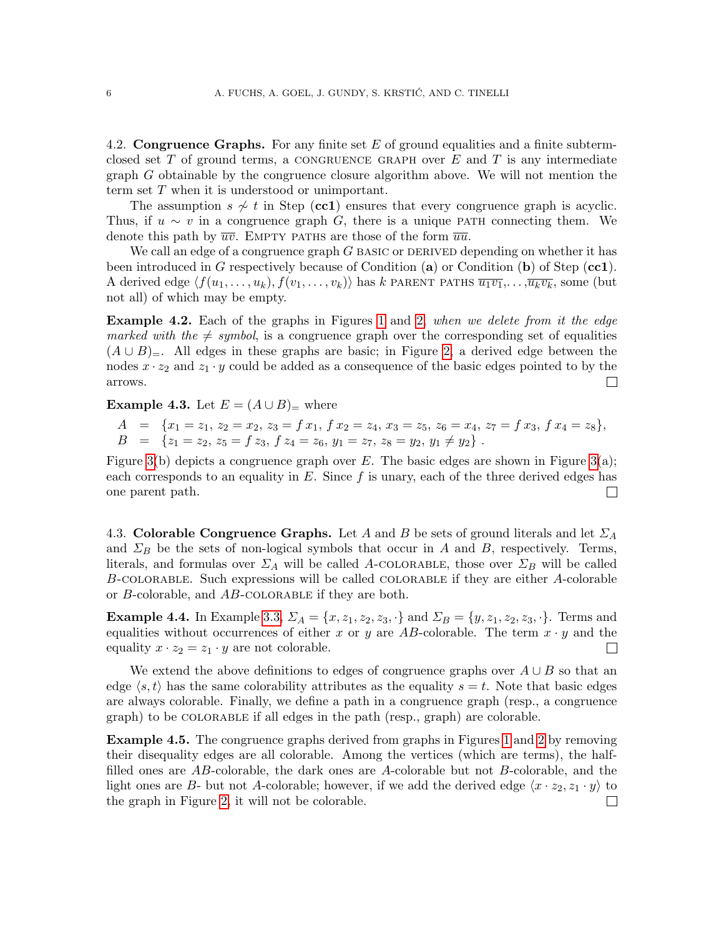<span id="page-5-2"></span>4.2. Congruence Graphs. For any finite set  $E$  of ground equalities and a finite subtermclosed set T of ground terms, a CONGRUENCE GRAPH over  $E$  and  $T$  is any intermediate graph G obtainable by the congruence closure algorithm above. We will not mention the term set T when it is understood or unimportant.

The assumption  $s \nsim t$  in Step (cc1) ensures that every congruence graph is acyclic. Thus, if  $u \sim v$  in a congruence graph G, there is a unique PATH connecting them. We denote this path by  $\overline{uv}$ . EMPTY PATHS are those of the form  $\overline{uu}$ .

We call an edge of a congruence graph  $G$  basic or DERIVED depending on whether it has been introduced in G respectively because of Condition (a) or Condition (b) of Step (cc1). A derived edge  $\langle f(u_1, \ldots, u_k), f(v_1, \ldots, v_k)\rangle$  has k partner paths  $\overline{u_1v_1}, \ldots, \overline{u_kv_k}$ , some (but not all) of which may be empty.

**Example 4.2.** Each of the graphs in Figures [1](#page-3-2) and [2,](#page-4-1) when we delete from it the edge marked with the  $\neq$  symbol, is a congruence graph over the corresponding set of equalities  $(A \cup B)$ <sub>=</sub>. All edges in these graphs are basic; in Figure [2,](#page-4-1) a derived edge between the nodes  $x \cdot z_2$  and  $z_1 \cdot y$  could be added as a consequence of the basic edges pointed to by the arrows.  $\Box$ 

<span id="page-5-1"></span>**Example 4.3.** Let  $E = (A \cup B)$ <sub>=</sub> where

$$
A = \{x_1 = z_1, z_2 = x_2, z_3 = f x_1, f x_2 = z_4, x_3 = z_5, z_6 = x_4, z_7 = f x_3, f x_4 = z_8\},
$$
  
\n
$$
B = \{z_1 = z_2, z_5 = f z_3, f z_4 = z_6, y_1 = z_7, z_8 = y_2, y_1 \neq y_2\}.
$$

Figure [3\(](#page-7-0)b) depicts a congruence graph over E. The basic edges are shown in Figure 3(a); each corresponds to an equality in  $E$ . Since f is unary, each of the three derived edges has one parent path.  $\Box$ 

<span id="page-5-3"></span>4.3. Colorable Congruence Graphs. Let A and B be sets of ground literals and let  $\Sigma_A$ and  $\Sigma_B$  be the sets of non-logical symbols that occur in A and B, respectively. Terms, literals, and formulas over  $\Sigma_A$  will be called A-COLORABLE, those over  $\Sigma_B$  will be called B-colorable. Such expressions will be called colorable if they are either A-colorable or B-colorable, and AB-colorable if they are both.

**Example 4.4.** In Example [3.3,](#page-3-3)  $\Sigma_A = \{x, z_1, z_2, z_3, \cdot\}$  and  $\Sigma_B = \{y, z_1, z_2, z_3, \cdot\}$ . Terms and equalities without occurrences of either x or y are AB-colorable. The term  $x \cdot y$  and the equality  $x \cdot z_2 = z_1 \cdot y$  are not colorable.  $\Box$ 

We extend the above definitions to edges of congruence graphs over  $A \cup B$  so that an edge  $\langle s, t \rangle$  has the same colorability attributes as the equality  $s = t$ . Note that basic edges are always colorable. Finally, we define a path in a congruence graph (resp., a congruence graph) to be colorable if all edges in the path (resp., graph) are colorable.

<span id="page-5-0"></span>Example 4.5. The congruence graphs derived from graphs in Figures [1](#page-3-2) and [2](#page-4-1) by removing their disequality edges are all colorable. Among the vertices (which are terms), the halffilled ones are AB-colorable, the dark ones are A-colorable but not B-colorable, and the light ones are B- but not A-colorable; however, if we add the derived edge  $\langle x \cdot z_2, z_1 \cdot y \rangle$  to the graph in Figure [2,](#page-4-1) it will not be colorable. $\Box$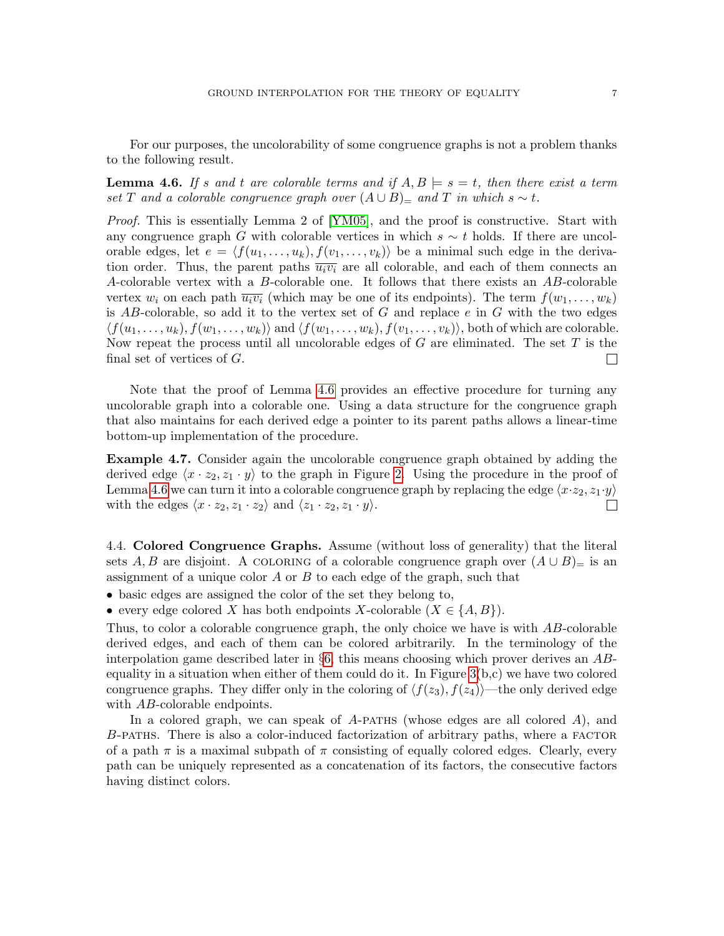For our purposes, the uncolorability of some congruence graphs is not a problem thanks to the following result.

<span id="page-6-0"></span>**Lemma 4.6.** If s and t are colorable terms and if  $A, B \models s = t$ , then there exist a term set T and a colorable congruence graph over  $(A \cup B)$ = and T in which s ~ t.

Proof. This is essentially Lemma 2 of [\[YM05\]](#page-22-1), and the proof is constructive. Start with any congruence graph G with colorable vertices in which  $s \sim t$  holds. If there are uncolorable edges, let  $e = \langle f(u_1, \ldots, u_k), f(v_1, \ldots, v_k)\rangle$  be a minimal such edge in the derivation order. Thus, the parent paths  $\overline{u_i v_i}$  are all colorable, and each of them connects an A-colorable vertex with a B-colorable one. It follows that there exists an AB-colorable vertex  $w_i$  on each path  $\overline{u_i v_i}$  (which may be one of its endpoints). The term  $f(w_1, \ldots, w_k)$ is AB-colorable, so add it to the vertex set of G and replace  $e$  in G with the two edges  $\langle f(u_1, \ldots, u_k), f(w_1, \ldots, w_k) \rangle$  and  $\langle f(w_1, \ldots, w_k), f(v_1, \ldots, v_k) \rangle$ , both of which are colorable. Now repeat the process until all uncolorable edges of  $G$  are eliminated. The set  $T$  is the final set of vertices of G.  $\Box$ 

Note that the proof of Lemma [4.6](#page-6-0) provides an effective procedure for turning any uncolorable graph into a colorable one. Using a data structure for the congruence graph that also maintains for each derived edge a pointer to its parent paths allows a linear-time bottom-up implementation of the procedure.

Example 4.7. Consider again the uncolorable congruence graph obtained by adding the derived edge  $\langle x \cdot z_2, z_1 \cdot y \rangle$  to the graph in Figure [2.](#page-4-1) Using the procedure in the proof of Lemma [4.6](#page-6-0) we can turn it into a colorable congruence graph by replacing the edge  $\langle x \cdot z_2, z_1 \cdot y \rangle$ with the edges  $\langle x \cdot z_2, z_1 \cdot z_2 \rangle$  and  $\langle z_1 \cdot z_2, z_1 \cdot y \rangle$ .  $\Box$ 

<span id="page-6-1"></span>4.4. Colored Congruence Graphs. Assume (without loss of generality) that the literal sets A, B are disjoint. A COLORING of a colorable congruence graph over  $(A \cup B)$ = is an assignment of a unique color  $A$  or  $B$  to each edge of the graph, such that

- basic edges are assigned the color of the set they belong to,
- every edge colored X has both endpoints X-colorable  $(X \in \{A, B\})$ .

Thus, to color a colorable congruence graph, the only choice we have is with AB-colorable derived edges, and each of them can be colored arbitrarily. In the terminology of the interpolation game described later in  $\S6$ , this means choosing which prover derives an ABequality in a situation when either of them could do it. In Figure  $3(b,c)$  we have two colored congruence graphs. They differ only in the coloring of  $\langle f(z_3), f(z_4)\rangle$ —the only derived edge with AB-colorable endpoints.

In a colored graph, we can speak of  $A$ -paths (whose edges are all colored  $A$ ), and B-PATHS. There is also a color-induced factorization of arbitrary paths, where a FACTOR of a path  $\pi$  is a maximal subpath of  $\pi$  consisting of equally colored edges. Clearly, every path can be uniquely represented as a concatenation of its factors, the consecutive factors having distinct colors.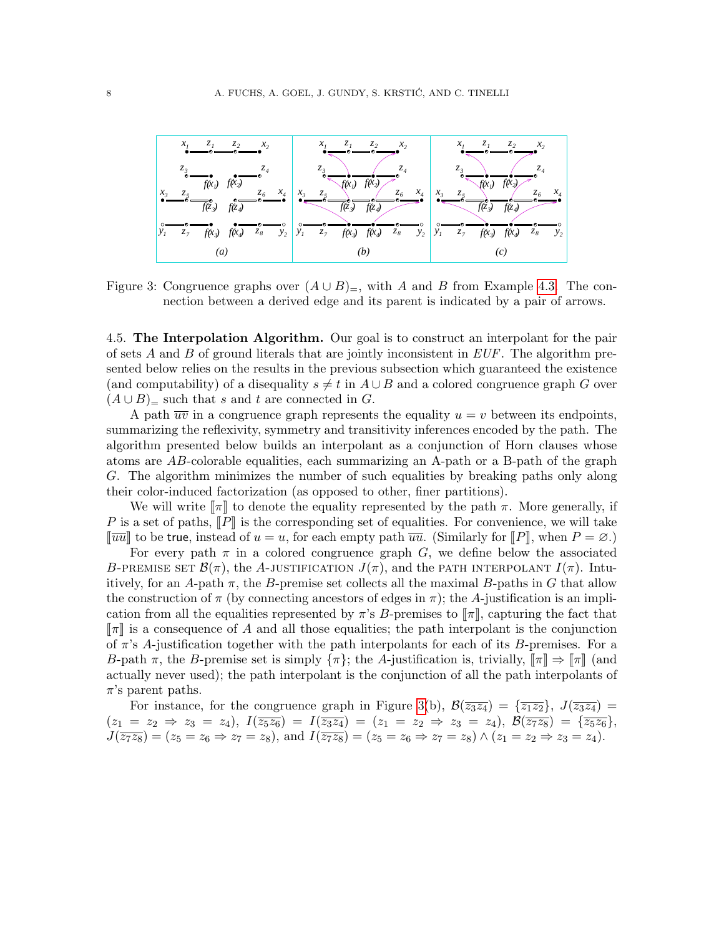

<span id="page-7-0"></span>Figure 3: Congruence graphs over  $(A \cup B)$ <sub>=</sub>, with A and B from Example [4.3.](#page-5-1) The connection between a derived edge and its parent is indicated by a pair of arrows.

<span id="page-7-1"></span>4.5. The Interpolation Algorithm. Our goal is to construct an interpolant for the pair of sets A and B of ground literals that are jointly inconsistent in  $EUF$ . The algorithm presented below relies on the results in the previous subsection which guaranteed the existence (and computability) of a disequality  $s \neq t$  in  $A \cup B$  and a colored congruence graph G over  $(A \cup B)$ <sub>=</sub> such that s and t are connected in G.

A path  $\overline{uv}$  in a congruence graph represents the equality  $u = v$  between its endpoints, summarizing the reflexivity, symmetry and transitivity inferences encoded by the path. The algorithm presented below builds an interpolant as a conjunction of Horn clauses whose atoms are AB-colorable equalities, each summarizing an A-path or a B-path of the graph G. The algorithm minimizes the number of such equalities by breaking paths only along their color-induced factorization (as opposed to other, finer partitions).

We will write  $\llbracket \pi \rrbracket$  to denote the equality represented by the path  $\pi$ . More generally, if P is a set of paths,  $\llbracket P \rrbracket$  is the corresponding set of equalities. For convenience, we will take  $\lceil \overline{uu} \rceil$  to be true, instead of  $u = u$ , for each empty path  $\overline{uu}$ . (Similarly for  $\lceil P \rceil$ , when  $P = \emptyset$ .)

For every path  $\pi$  in a colored congruence graph G, we define below the associated B-PREMISE SET  $\mathcal{B}(\pi)$ , the A-justification  $J(\pi)$ , and the path interpolant  $I(\pi)$ . Intuitively, for an A-path  $\pi$ , the B-premise set collects all the maximal B-paths in G that allow the construction of  $\pi$  (by connecting ancestors of edges in  $\pi$ ); the A-justification is an implication from all the equalities represented by  $\pi$ 's B-premises to  $\llbracket \pi \rrbracket$ , capturing the fact that  $\llbracket \pi \rrbracket$  is a consequence of A and all those equalities; the path interpolant is the conjunction of  $\pi$ 's A-justification together with the path interpolants for each of its B-premises. For a B-path  $\pi$ , the B-premise set is simply  $\{\pi\}$ ; the A-justification is, trivially,  $\llbracket \pi \rrbracket \Rightarrow \llbracket \pi \rrbracket$  (and actually never used); the path interpolant is the conjunction of all the path interpolants of  $\pi$ 's parent paths.

For instance, for the congruence graph in Figure [3\(](#page-7-0)b),  $\mathcal{B}(\overline{z_3z_4}) = {\overline{z_1z_2}}, \ J(\overline{z_3z_4}) =$  $(z_1 = z_2 \Rightarrow z_3 = z_4), I(\overline{z_5z_6}) = I(\overline{z_3z_4}) = (z_1 = z_2 \Rightarrow z_3 = z_4), B(\overline{z_7z_8}) = {\overline{z_5z_6}},$  $J(\overline{z_7z_8}) = (z_5 = z_6 \Rightarrow z_7 = z_8)$ , and  $I(\overline{z_7z_8}) = (z_5 = z_6 \Rightarrow z_7 = z_8) \wedge (z_1 = z_2 \Rightarrow z_3 = z_4)$ .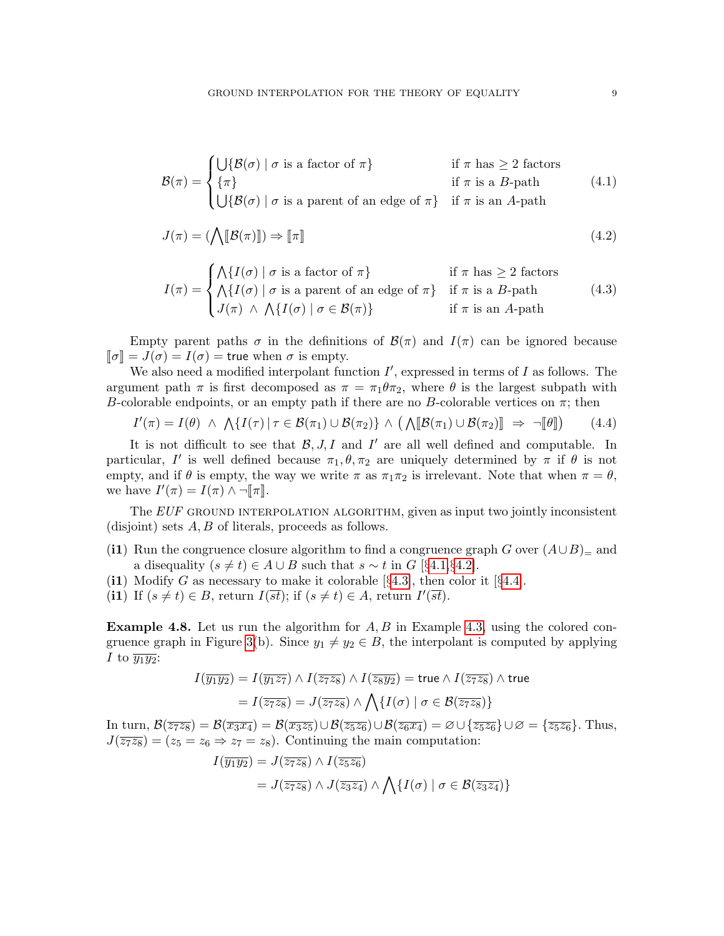<span id="page-8-0"></span>
$$
\mathcal{B}(\pi) = \begin{cases}\n\bigcup \{\mathcal{B}(\sigma) \mid \sigma \text{ is a factor of } \pi\} & \text{if } \pi \text{ has } \geq 2 \text{ factors} \\
\{\pi\} & \text{if } \pi \text{ is a } B\text{-path} \\
\bigcup \{\mathcal{B}(\sigma) \mid \sigma \text{ is a parent of an edge of } \pi\} & \text{if } \pi \text{ is an } A\text{-path}\n\end{cases} (4.1)
$$

$$
J(\pi) = (\bigwedge [\hspace{-0.3ex}[ B(\pi) ]\hspace{-0.3ex}]) \Rightarrow [\hspace{-0.3ex}[ \pi ]\hspace{-0.3ex}]
$$
 (4.2)

$$
I(\pi) = \begin{cases} \bigwedge \{ I(\sigma) \mid \sigma \text{ is a factor of } \pi \} & \text{if } \pi \text{ has } \geq 2 \text{ factors} \\ \bigwedge \{ I(\sigma) \mid \sigma \text{ is a parent of an edge of } \pi \} & \text{if } \pi \text{ is a } B\text{-path} \\ J(\pi) \wedge \bigwedge \{ I(\sigma) \mid \sigma \in \mathcal{B}(\pi) \} & \text{if } \pi \text{ is an } A\text{-path} \end{cases}
$$
(4.3)

Empty parent paths  $\sigma$  in the definitions of  $\mathcal{B}(\pi)$  and  $I(\pi)$  can be ignored because  $\llbracket \sigma \rrbracket = J(\sigma) = I(\sigma) =$  true when  $\sigma$  is empty.

We also need a modified interpolant function  $I'$ , expressed in terms of  $I$  as follows. The argument path  $\pi$  is first decomposed as  $\pi = \pi_1 \theta \pi_2$ , where  $\theta$  is the largest subpath with B-colorable endpoints, or an empty path if there are no B-colorable vertices on  $\pi$ ; then

$$
I'(\pi) = I(\theta) \ \wedge \ \bigwedge \{I(\tau) \mid \tau \in \mathcal{B}(\pi_1) \cup \mathcal{B}(\pi_2)\} \ \wedge \ \big(\bigwedge [\hspace{0.5mm} [\mathcal{B}(\pi_1) \cup \mathcal{B}(\pi_2)]\hspace{0.5mm} ] \Rightarrow \ \neg [\hspace{0.5mm} [\theta]\hspace{0.5mm} ] \tag{4.4}
$$

It is not difficult to see that  $\mathcal{B}, J, I$  and  $I'$  are all well defined and computable. In particular, I' is well defined because  $\pi_1, \theta, \pi_2$  are uniquely determined by  $\pi$  if  $\theta$  is not empty, and if  $\theta$  is empty, the way we write  $\pi$  as  $\pi_1 \pi_2$  is irrelevant. Note that when  $\pi = \theta$ , we have  $I'(\pi) = I(\pi) \wedge \neg \llbracket \pi \rrbracket$ .

The  $EUF$  ground interpolation algorithm, given as input two jointly inconsistent (disjoint) sets  $A, B$  of literals, proceeds as follows.

- (i1) Run the congruence closure algorithm to find a congruence graph G over  $(A\cup B)$ = and a disequality  $(s \neq t) \in A \cup B$  such that  $s \sim t$  in  $G$  [§[4.1,](#page-4-3)§[4.2\]](#page-5-2).
- (i1) Modify G as necessary to make it colorable  $\S 4.3$ , then color it  $\S 4.4$ .
- (i1) If  $(s \neq t) \in B$ , return  $I(\overline{st})$ ; if  $(s \neq t) \in A$ , return  $I'(\overline{st})$ .

<span id="page-8-1"></span>**Example 4.8.** Let us run the algorithm for  $A, B$  in Example [4.3,](#page-5-1) using the colored con-gruence graph in Figure [3\(](#page-7-0)b). Since  $y_1 \neq y_2 \in B$ , the interpolant is computed by applying I to  $\overline{y_1}\overline{y_2}$ :

$$
I(\overline{y_1 y_2}) = I(\overline{y_1 z_7}) \wedge I(\overline{z_7 z_8}) \wedge I(\overline{z_8 y_2}) = \text{true} \wedge I(\overline{z_7 z_8}) \wedge \text{true}
$$

$$
= I(\overline{z_7 z_8}) = J(\overline{z_7 z_8}) \wedge \bigwedge \{ I(\sigma) \mid \sigma \in \mathcal{B}(\overline{z_7 z_8}) \}
$$

In turn,  $\mathcal{B}(\overline{z_7z_8}) = \mathcal{B}(\overline{x_3x_4}) = \mathcal{B}(\overline{x_3z_5}) \cup \mathcal{B}(\overline{z_5z_6}) \cup \mathcal{B}(\overline{z_6x_4}) = \emptyset \cup \{\overline{z_5z_6}\} \cup \emptyset = \{\overline{z_5z_6}\}$ . Thus,  $J(\overline{z_7z_8}) = (z_5 = z_6 \Rightarrow z_7 = z_8)$ . Continuing the main computation:

$$
I(\overline{y_1 y_2}) = J(\overline{z_7 z_8}) \wedge I(\overline{z_5 z_6})
$$
  
=  $J(\overline{z_7 z_8}) \wedge J(\overline{z_3 z_4}) \wedge \bigwedge \{I(\sigma) \mid \sigma \in \mathcal{B}(\overline{z_3 z_4})\}$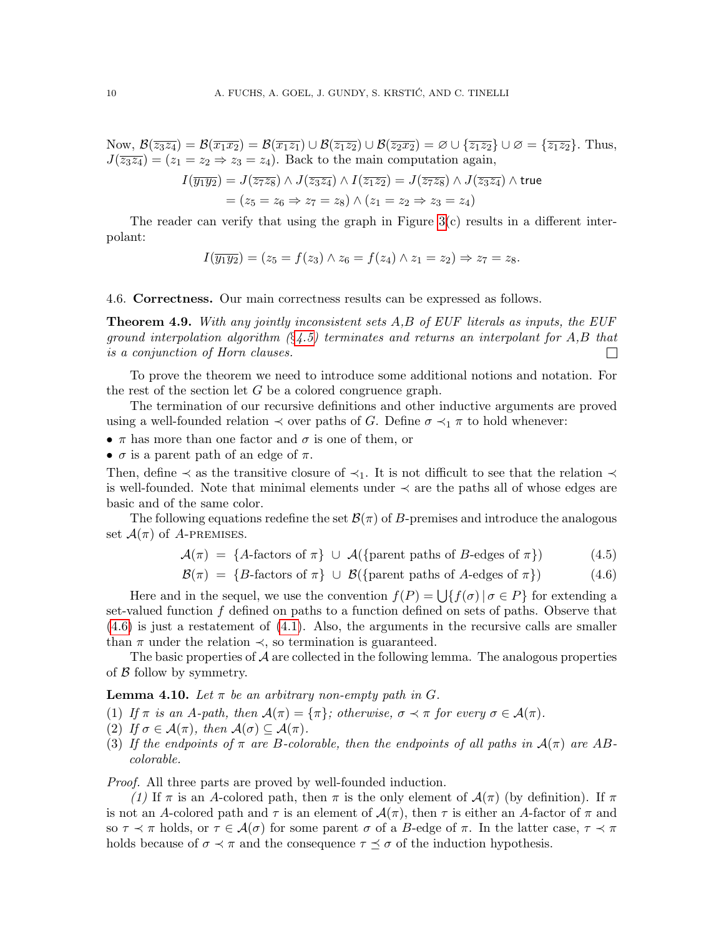Now,  $\mathcal{B}(\overline{z_3z_4}) = \mathcal{B}(\overline{x_1x_2}) = \mathcal{B}(\overline{x_1z_1}) \cup \mathcal{B}(\overline{z_1z_2}) \cup \mathcal{B}(\overline{z_2x_2}) = \emptyset \cup \{\overline{z_1z_2}\} \cup \emptyset = \{\overline{z_1z_2}\}.$  Thus,  $J(\overline{z_3z_4}) = (z_1 = z_2 \Rightarrow z_3 = z_4)$ . Back to the main computation again,

$$
I(\overline{y_1 y_2}) = J(\overline{z_7 z_8}) \wedge J(\overline{z_3 z_4}) \wedge I(\overline{z_1 z_2}) = J(\overline{z_7 z_8}) \wedge J(\overline{z_3 z_4}) \wedge \text{true}
$$

$$
= (z_5 = z_6 \Rightarrow z_7 = z_8) \wedge (z_1 = z_2 \Rightarrow z_3 = z_4)
$$

The reader can verify that using the graph in Figure  $3(c)$  results in a different interpolant:

$$
I(\overline{y_1y_2}) = (z_5 = f(z_3) \land z_6 = f(z_4) \land z_1 = z_2) \Rightarrow z_7 = z_8.
$$

<span id="page-9-3"></span>4.6. Correctness. Our main correctness results can be expressed as follows.

<span id="page-9-2"></span>**Theorem 4.9.** With any jointly inconsistent sets  $A, B$  of EUF literals as inputs, the EUF ground interpolation algorithm  $(\S 4.5)$  $(\S 4.5)$  terminates and returns an interpolant for A,B that is a conjunction of Horn clauses.  $\Box$ 

To prove the theorem we need to introduce some additional notions and notation. For the rest of the section let G be a colored congruence graph.

The termination of our recursive definitions and other inductive arguments are proved using a well-founded relation  $\prec$  over paths of G. Define  $\sigma \prec_1 \pi$  to hold whenever:

•  $\pi$  has more than one factor and  $\sigma$  is one of them, or

•  $\sigma$  is a parent path of an edge of  $\pi$ .

Then, define  $\prec$  as the transitive closure of  $\prec_1$ . It is not difficult to see that the relation  $\prec$ is well-founded. Note that minimal elements under ≺ are the paths all of whose edges are basic and of the same color.

The following equations redefine the set  $\mathcal{B}(\pi)$  of B-premises and introduce the analogous set  $\mathcal{A}(\pi)$  of A-PREMISES.

$$
\mathcal{A}(\pi) = \{A\text{-factors of }\pi\} \cup \mathcal{A}(\{\text{parent paths of }B\text{-edges of }\pi\})\tag{4.5}
$$

<span id="page-9-0"></span>
$$
\mathcal{B}(\pi) = \{B\text{-factors of }\pi\} \cup \mathcal{B}(\{\text{parent paths of }A\text{-edges of }\pi\})\tag{4.6}
$$

Here and in the sequel, we use the convention  $f(P) = \bigcup \{ f(\sigma) | \sigma \in P \}$  for extending a set-valued function f defined on paths to a function defined on sets of paths. Observe that [\(4.6\)](#page-9-0) is just a restatement of [\(4.1\)](#page-8-0). Also, the arguments in the recursive calls are smaller than  $\pi$  under the relation  $\prec$ , so termination is guaranteed.

The basic properties of  $A$  are collected in the following lemma. The analogous properties of  $\beta$  follow by symmetry.

## <span id="page-9-1"></span>**Lemma 4.10.** Let  $\pi$  be an arbitrary non-empty path in G.

- (1) If  $\pi$  is an A-path, then  $\mathcal{A}(\pi) = {\pi}$ ; otherwise,  $\sigma \prec \pi$  for every  $\sigma \in \mathcal{A}(\pi)$ .
- (2) If  $\sigma \in \mathcal{A}(\pi)$ , then  $\mathcal{A}(\sigma) \subseteq \mathcal{A}(\pi)$ .
- (3) If the endpoints of  $\pi$  are B-colorable, then the endpoints of all paths in  $\mathcal{A}(\pi)$  are ABcolorable.

Proof. All three parts are proved by well-founded induction.

(1) If  $\pi$  is an A-colored path, then  $\pi$  is the only element of  $\mathcal{A}(\pi)$  (by definition). If  $\pi$ is not an A-colored path and  $\tau$  is an element of  $\mathcal{A}(\pi)$ , then  $\tau$  is either an A-factor of  $\pi$  and so  $\tau \prec \pi$  holds, or  $\tau \in \mathcal{A}(\sigma)$  for some parent  $\sigma$  of a B-edge of  $\pi$ . In the latter case,  $\tau \prec \pi$ holds because of  $\sigma \prec \pi$  and the consequence  $\tau \preceq \sigma$  of the induction hypothesis.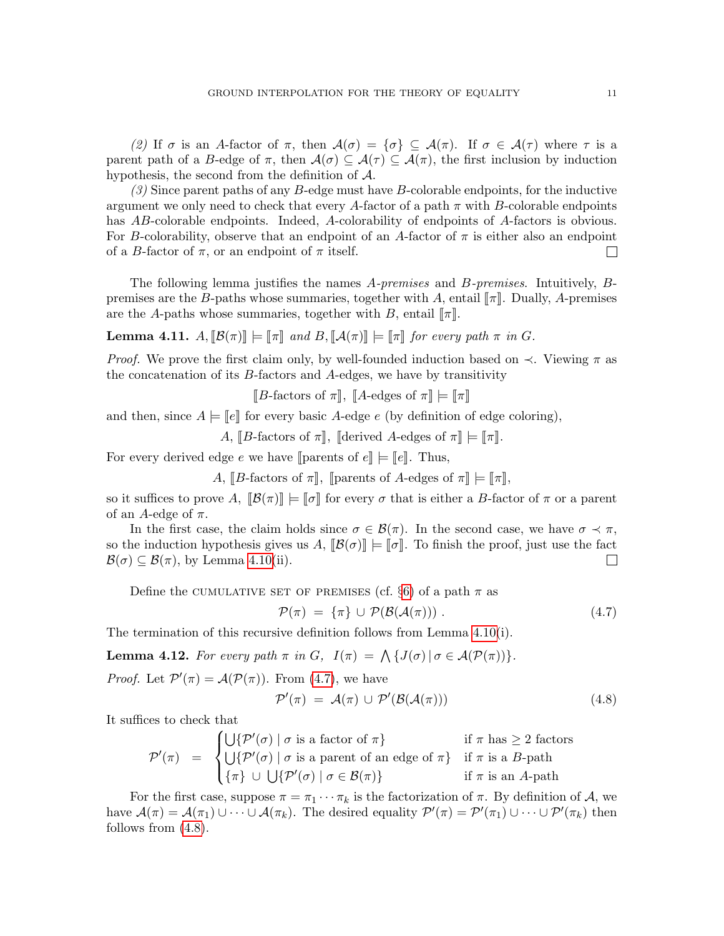(2) If  $\sigma$  is an A-factor of  $\pi$ , then  $\mathcal{A}(\sigma) = {\sigma} \subseteq \mathcal{A}(\pi)$ . If  $\sigma \in \mathcal{A}(\tau)$  where  $\tau$  is a parent path of a B-edge of  $\pi$ , then  $\mathcal{A}(\sigma) \subseteq \mathcal{A}(\tau) \subseteq \mathcal{A}(\pi)$ , the first inclusion by induction hypothesis, the second from the definition of A.

 $(3)$  Since parent paths of any B-edge must have B-colorable endpoints, for the inductive argument we only need to check that every A-factor of a path  $\pi$  with B-colorable endpoints has AB-colorable endpoints. Indeed, A-colorability of endpoints of A-factors is obvious. For B-colorability, observe that an endpoint of an A-factor of  $\pi$  is either also an endpoint of a B-factor of  $\pi$ , or an endpoint of  $\pi$  itself.  $\Box$ 

The following lemma justifies the names A-premises and B-premises. Intuitively, Bpremises are the B-paths whose summaries, together with A, entail  $\llbracket \pi \rrbracket$ . Dually, A-premises are the A-paths whose summaries, together with B, entail  $\llbracket \pi \rrbracket$ .

<span id="page-10-3"></span>**Lemma 4.11.**  $A$ ,  $\mathcal{B}(\pi)\equiv \pi$  and  $B$ ,  $\mathcal{A}(\pi)\equiv \pi$  for every path  $\pi$  in G.

*Proof.* We prove the first claim only, by well-founded induction based on  $\prec$ . Viewing  $\pi$  as the concatenation of its  $B$ -factors and  $A$ -edges, we have by transitivity

 $\llbracket B\text{-factors of }\pi \rrbracket, \llbracket A\text{-edges of }\pi \rrbracket \models \llbracket \pi \rrbracket$ 

and then, since  $A \models \|e\|$  for every basic A-edge e (by definition of edge coloring),

A,  $\llbracket B\text{-factors of }\pi \rrbracket$ ,  $\llbracket \text{derived } A\text{-edges of }\pi \rrbracket = \llbracket \pi \rrbracket$ .

For every derived edge e we have  $\lbrack \cdot \rbrack$  parents of  $e\lbrack \cdot \rbrack = \lbrack \cdot e \rbrack$ . Thus,

A,  $\llbracket B\text{-factors of }\pi \rrbracket$ ,  $\llbracket \text{parents of } A\text{-edges of }\pi \rrbracket = \llbracket \pi \rrbracket$ ,

so it suffices to prove A,  $\|\mathcal{B}(\pi)\| \models \llbracket \sigma \rrbracket$  for every  $\sigma$  that is either a B-factor of  $\pi$  or a parent of an A-edge of  $\pi$ .

In the first case, the claim holds since  $\sigma \in \mathcal{B}(\pi)$ . In the second case, we have  $\sigma \prec \pi$ , so the induction hypothesis gives us  $A$ ,  $[\mathcal{B}(\sigma)] \models [\![\sigma]\!]$ . To finish the proof, just use the fact  $\mathcal{B}(\sigma) \subseteq \mathcal{B}(\pi)$ , by Lemma 4.10(ii).  $\mathcal{B}(\sigma) \subseteq \mathcal{B}(\pi)$ , by Lemma [4.10\(](#page-9-1)ii).

Define the CUMULATIVE SET OF PREMISES (cf.  $\S6$ ) of a path  $\pi$  as

<span id="page-10-0"></span>
$$
\mathcal{P}(\pi) = \{\pi\} \cup \mathcal{P}(\mathcal{B}(\mathcal{A}(\pi))) \,. \tag{4.7}
$$

The termination of this recursive definition follows from Lemma [4.10\(](#page-9-1)i).

<span id="page-10-2"></span>**Lemma 4.12.** For every path  $\pi$  in  $G$ ,  $I(\pi) = \Lambda \{ J(\sigma) | \sigma \in \mathcal{A}(\mathcal{P}(\pi)) \}.$ 

*Proof.* Let  $\mathcal{P}'(\pi) = \mathcal{A}(\mathcal{P}(\pi))$ . From [\(4.7\)](#page-10-0), we have

<span id="page-10-1"></span>
$$
\mathcal{P}'(\pi) = \mathcal{A}(\pi) \cup \mathcal{P}'(\mathcal{B}(\mathcal{A}(\pi))) \tag{4.8}
$$

It suffices to check that

$$
\mathcal{P}'(\pi) = \begin{cases} \bigcup \{ \mathcal{P}'(\sigma) \mid \sigma \text{ is a factor of } \pi \} & \text{if } \pi \text{ has } \geq 2 \text{ factors} \\ \bigcup \{ \mathcal{P}'(\sigma) \mid \sigma \text{ is a parent of an edge of } \pi \} & \text{if } \pi \text{ is a } B\text{-path} \\ \{\pi\} \cup \bigcup \{ \mathcal{P}'(\sigma) \mid \sigma \in \mathcal{B}(\pi) \} & \text{if } \pi \text{ is an } A\text{-path} \end{cases}
$$

For the first case, suppose  $\pi = \pi_1 \cdots \pi_k$  is the factorization of  $\pi$ . By definition of A, we have  $\mathcal{A}(\pi) = \mathcal{A}(\pi_1) \cup \cdots \cup \mathcal{A}(\pi_k)$ . The desired equality  $\mathcal{P}'(\pi) = \mathcal{P}'(\pi_1) \cup \cdots \cup \mathcal{P}'(\pi_k)$  then follows from [\(4.8\)](#page-10-1).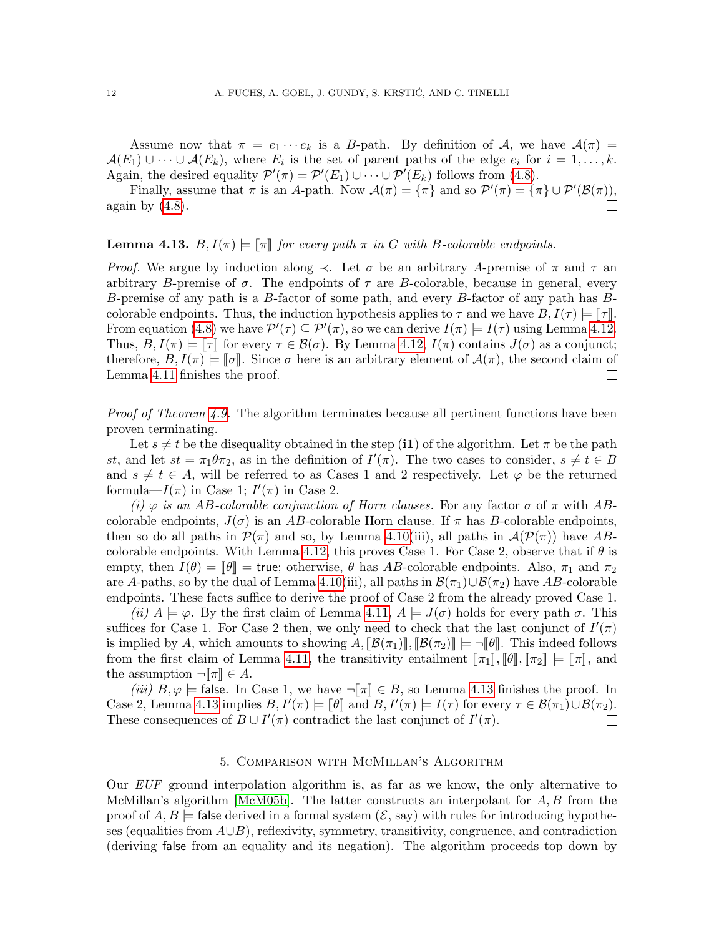Assume now that  $\pi = e_1 \cdots e_k$  is a B-path. By definition of A, we have  $\mathcal{A}(\pi) =$  $\mathcal{A}(E_1) \cup \cdots \cup \mathcal{A}(E_k)$ , where  $E_i$  is the set of parent paths of the edge  $e_i$  for  $i = 1, \ldots, k$ . Again, the desired equality  $\mathcal{P}'(\pi) = \mathcal{P}'(E_1) \cup \cdots \cup \mathcal{P}'(E_k)$  follows from [\(4.8\)](#page-10-1).

Finally, assume that  $\pi$  is an A-path. Now  $\mathcal{A}(\pi) = {\pi}$  and so  $\mathcal{P}'(\pi) = {\pi} \cup \mathcal{P}'(\mathcal{B}(\pi))$ , again by  $(4.8)$ .  $\Box$ 

### <span id="page-11-1"></span>**Lemma 4.13.**  $B, I(\pi) \models |\pi|$  for every path  $\pi$  in G with B-colorable endpoints.

*Proof.* We argue by induction along  $\prec$ . Let  $\sigma$  be an arbitrary A-premise of  $\pi$  and  $\tau$  an arbitrary B-premise of  $\sigma$ . The endpoints of  $\tau$  are B-colorable, because in general, every B-premise of any path is a B-factor of some path, and every B-factor of any path has Bcolorable endpoints. Thus, the induction hypothesis applies to  $\tau$  and we have  $B, I(\tau) \models \llbracket \tau \rrbracket$ . From equation [\(4.8\)](#page-10-1) we have  $\mathcal{P}'(\tau) \subseteq \mathcal{P}'(\pi)$ , so we can derive  $I(\pi) \models I(\tau)$  using Lemma [4.12.](#page-10-2) Thus,  $B, I(\pi) \models \llbracket \tau \rrbracket$  for every  $\tau \in \mathcal{B}(\sigma)$ . By Lemma [4.12,](#page-10-2)  $I(\pi)$  contains  $J(\sigma)$  as a conjunct; therefore,  $B, I(\pi) \models [\![\sigma]\!]$ . Since  $\sigma$  here is an arbitrary element of  $\mathcal{A}(\pi)$ , the second claim of Lemma 4.11 finishes the proof. Lemma [4.11](#page-10-3) finishes the proof.

*Proof of Theorem [4.9.](#page-9-2)* The algorithm terminates because all pertinent functions have been proven terminating.

Let  $s \neq t$  be the disequality obtained in the step (i1) of the algorithm. Let  $\pi$  be the path  $\overline{st}$ , and let  $\overline{st} = \pi_1 \theta \pi_2$ , as in the definition of  $I'(\pi)$ . The two cases to consider,  $s \neq t \in B$ and  $s \neq t \in A$ , will be referred to as Cases 1 and 2 respectively. Let  $\varphi$  be the returned formula— $I(\pi)$  in Case 1;  $I'(\pi)$  in Case 2.

(i)  $\varphi$  is an AB-colorable conjunction of Horn clauses. For any factor  $\sigma$  of  $\pi$  with ABcolorable endpoints,  $J(\sigma)$  is an AB-colorable Horn clause. If  $\pi$  has B-colorable endpoints, then so do all paths in  $\mathcal{P}(\pi)$  and so, by Lemma [4.10\(](#page-9-1)iii), all paths in  $\mathcal{A}(\mathcal{P}(\pi))$  have AB-colorable endpoints. With Lemma [4.12,](#page-10-2) this proves Case 1. For Case 2, observe that if  $\theta$  is empty, then  $I(\theta) = \llbracket \theta \rrbracket =$  true; otherwise,  $\theta$  has AB-colorable endpoints. Also,  $\pi_1$  and  $\pi_2$ are A-paths, so by the dual of Lemma [4.10\(](#page-9-1)iii), all paths in  $\mathcal{B}(\pi_1) \cup \mathcal{B}(\pi_2)$  have AB-colorable endpoints. These facts suffice to derive the proof of Case 2 from the already proved Case 1.

(ii)  $A \models \varphi$ . By the first claim of Lemma [4.11,](#page-10-3)  $A \models J(\sigma)$  holds for every path  $\sigma$ . This suffices for Case 1. For Case 2 then, we only need to check that the last conjunct of  $I'(\pi)$ is implied by A, which amounts to showing  $A$ ,  $\|\mathcal{B}(\pi_1)\|$ ,  $\|\mathcal{B}(\pi_2)\| \models \neg \|\theta\|$ . This indeed follows from the first claim of Lemma [4.11,](#page-10-3) the transitivity entailment  $[\![\pi_1]\!], [\![\theta]\!], [\![\pi_2]\!] \models [\![\pi]\!],$  and the assumption  $\neg \llbracket \pi \rrbracket \in A$ .

(iii)  $B, \varphi$  = false. In Case 1, we have  $\neg \ulcorner \pi \urcorner \in B$ , so Lemma [4.13](#page-11-1) finishes the proof. In Case 2, Lemma [4.13](#page-11-1) implies  $B, I'(\pi) \models [\![\theta]\!]$  and  $B, I'(\pi) \models I(\tau)$  for every  $\tau \in \mathcal{B}(\pi_1) \cup \mathcal{B}(\pi_2)$ .<br>These consequences of  $B \cup I'(\pi)$  contradict the last conjunct of  $I'(\pi)$ . These consequences of  $B \cup I'(\pi)$  contradict the last conjunct of  $I'(\pi)$ .  $\Box$ 

### 5. Comparison with McMillan's Algorithm

<span id="page-11-0"></span>Our EUF ground interpolation algorithm is, as far as we know, the only alternative to McMillan's algorithm [\[McM05b\]](#page-22-0). The latter constructs an interpolant for  $A, B$  from the proof of  $A, B \models$  false derived in a formal system  $(\mathcal{E}, \text{say})$  with rules for introducing hypotheses (equalities from  $A∪B$ ), reflexivity, symmetry, transitivity, congruence, and contradiction (deriving false from an equality and its negation). The algorithm proceeds top down by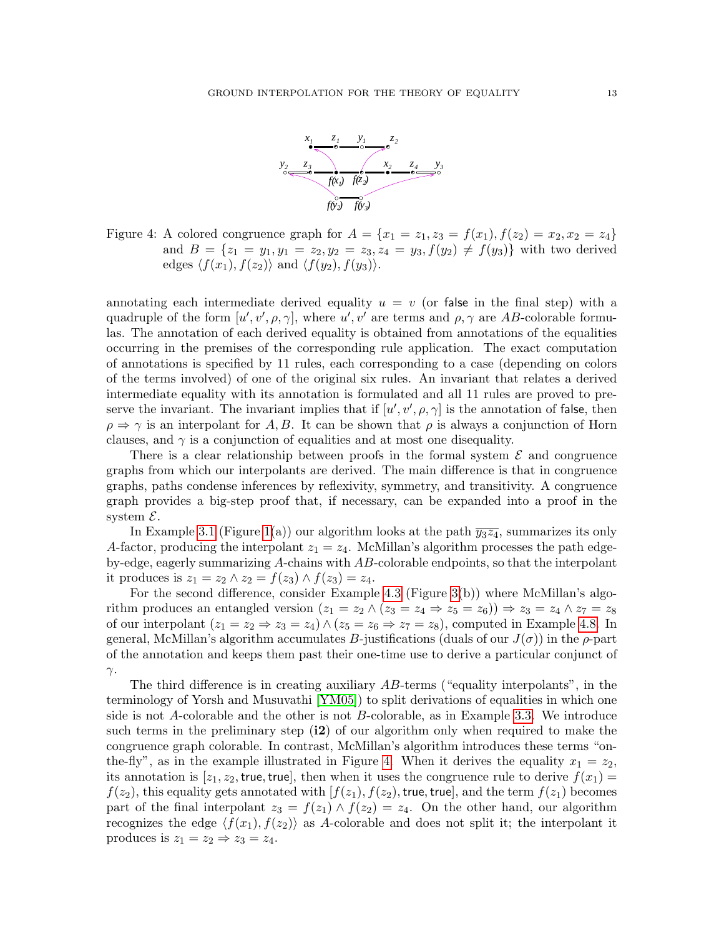

<span id="page-12-0"></span>Figure 4: A colored congruence graph for  $A = \{x_1 = z_1, z_3 = f(x_1), f(z_2) = x_2, x_2 = z_4\}$ and  $B = \{z_1 = y_1, y_1 = z_2, y_2 = z_3, z_4 = y_3, f(y_2) \neq f(y_3)\}\$  with two derived edges  $\langle f(x_1), f(z_2)\rangle$  and  $\langle f(y_2), f(y_3)\rangle$ .

annotating each intermediate derived equality  $u = v$  (or false in the final step) with a quadruple of the form  $[u', v', \rho, \gamma]$ , where  $u', v'$  are terms and  $\rho, \gamma$  are AB-colorable formulas. The annotation of each derived equality is obtained from annotations of the equalities occurring in the premises of the corresponding rule application. The exact computation of annotations is specified by 11 rules, each corresponding to a case (depending on colors of the terms involved) of one of the original six rules. An invariant that relates a derived intermediate equality with its annotation is formulated and all 11 rules are proved to preserve the invariant. The invariant implies that if  $[u', v', \rho, \gamma]$  is the annotation of false, then  $\rho \Rightarrow \gamma$  is an interpolant for A, B. It can be shown that  $\rho$  is always a conjunction of Horn clauses, and  $\gamma$  is a conjunction of equalities and at most one disequality.

There is a clear relationship between proofs in the formal system  $\mathcal E$  and congruence graphs from which our interpolants are derived. The main difference is that in congruence graphs, paths condense inferences by reflexivity, symmetry, and transitivity. A congruence graph provides a big-step proof that, if necessary, can be expanded into a proof in the system  $\mathcal{E}.$ 

In Example [3.1](#page-3-1) (Figure [1\(](#page-3-2)a)) our algorithm looks at the path  $\overline{y_3z_4}$ , summarizes its only A-factor, producing the interpolant  $z_1 = z_4$ . McMillan's algorithm processes the path edgeby-edge, eagerly summarizing A-chains with AB-colorable endpoints, so that the interpolant it produces is  $z_1 = z_2 \wedge z_2 = f(z_3) \wedge f(z_3) = z_4$ .

For the second difference, consider Example [4.3](#page-5-1) (Figure [3\(](#page-7-0)b)) where McMillan's algorithm produces an entangled version  $(z_1 = z_2 \wedge (z_3 = z_4 \Rightarrow z_5 = z_6)) \Rightarrow z_3 = z_4 \wedge z_7 = z_8$ of our interpolant  $(z_1 = z_2 \Rightarrow z_3 = z_4) \wedge (z_5 = z_6 \Rightarrow z_7 = z_8)$ , computed in Example [4.8.](#page-8-1) In general, McMillan's algorithm accumulates B-justifications (duals of our  $J(\sigma)$ ) in the  $\rho$ -part of the annotation and keeps them past their one-time use to derive a particular conjunct of  $γ$ .

The third difference is in creating auxiliary  $AB$ -terms ("equality interpolants", in the terminology of Yorsh and Musuvathi [\[YM05\]](#page-22-1)) to split derivations of equalities in which one side is not A-colorable and the other is not B-colorable, as in Example [3.3.](#page-3-3) We introduce such terms in the preliminary step  $(i2)$  of our algorithm only when required to make the congruence graph colorable. In contrast, McMillan's algorithm introduces these terms "on-the-fly", as in the example illustrated in Figure [4.](#page-12-0) When it derives the equality  $x_1 = z_2$ , its annotation is  $[z_1, z_2]$ , true, true, then when it uses the congruence rule to derive  $f(x_1)$  $f(z_2)$ , this equality gets annotated with  $[f(z_1), f(z_2)]$ , true, true, and the term  $f(z_1)$  becomes part of the final interpolant  $z_3 = f(z_1) \wedge f(z_2) = z_4$ . On the other hand, our algorithm recognizes the edge  $\langle f(x_1), f(z_2) \rangle$  as A-colorable and does not split it; the interpolant it produces is  $z_1 = z_2 \Rightarrow z_3 = z_4$ .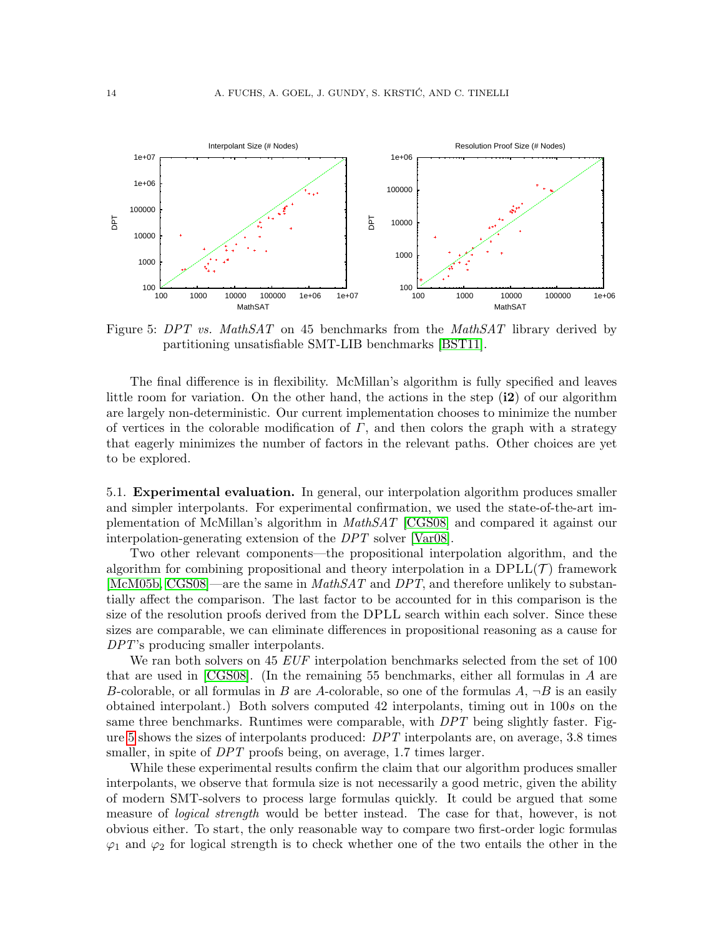

<span id="page-13-0"></span>Figure 5: DPT vs. MathSAT on 45 benchmarks from the MathSAT library derived by partitioning unsatisfiable SMT-LIB benchmarks [\[BST11\]](#page-21-9).

The final difference is in flexibility. McMillan's algorithm is fully specified and leaves little room for variation. On the other hand, the actions in the step  $(i2)$  of our algorithm are largely non-deterministic. Our current implementation chooses to minimize the number of vertices in the colorable modification of  $\Gamma$ , and then colors the graph with a strategy that eagerly minimizes the number of factors in the relevant paths. Other choices are yet to be explored.

5.1. Experimental evaluation. In general, our interpolation algorithm produces smaller and simpler interpolants. For experimental confirmation, we used the state-of-the-art implementation of McMillan's algorithm in MathSAT [\[CGS08\]](#page-21-3) and compared it against our interpolation-generating extension of the DPT solver [\[Var08\]](#page-22-7).

Two other relevant components—the propositional interpolation algorithm, and the algorithm for combining propositional and theory interpolation in a  $DPLL(\mathcal{T})$  framework [\[McM05b,](#page-22-0) [CGS08\]](#page-21-3)—are the same in  $MathSAT$  and DPT, and therefore unlikely to substantially affect the comparison. The last factor to be accounted for in this comparison is the size of the resolution proofs derived from the DPLL search within each solver. Since these sizes are comparable, we can eliminate differences in propositional reasoning as a cause for DPT's producing smaller interpolants.

We ran both solvers on 45 EUF interpolation benchmarks selected from the set of 100 that are used in [\[CGS08\]](#page-21-3). (In the remaining 55 benchmarks, either all formulas in A are B-colorable, or all formulas in B are A-colorable, so one of the formulas  $A$ ,  $\neg B$  is an easily obtained interpolant.) Both solvers computed 42 interpolants, timing out in 100s on the same three benchmarks. Runtimes were comparable, with DPT being slightly faster. Figure [5](#page-13-0) shows the sizes of interpolants produced: DPT interpolants are, on average, 3.8 times smaller, in spite of DPT proofs being, on average, 1.7 times larger.

While these experimental results confirm the claim that our algorithm produces smaller interpolants, we observe that formula size is not necessarily a good metric, given the ability of modern SMT-solvers to process large formulas quickly. It could be argued that some measure of *logical strength* would be better instead. The case for that, however, is not obvious either. To start, the only reasonable way to compare two first-order logic formulas  $\varphi_1$  and  $\varphi_2$  for logical strength is to check whether one of the two entails the other in the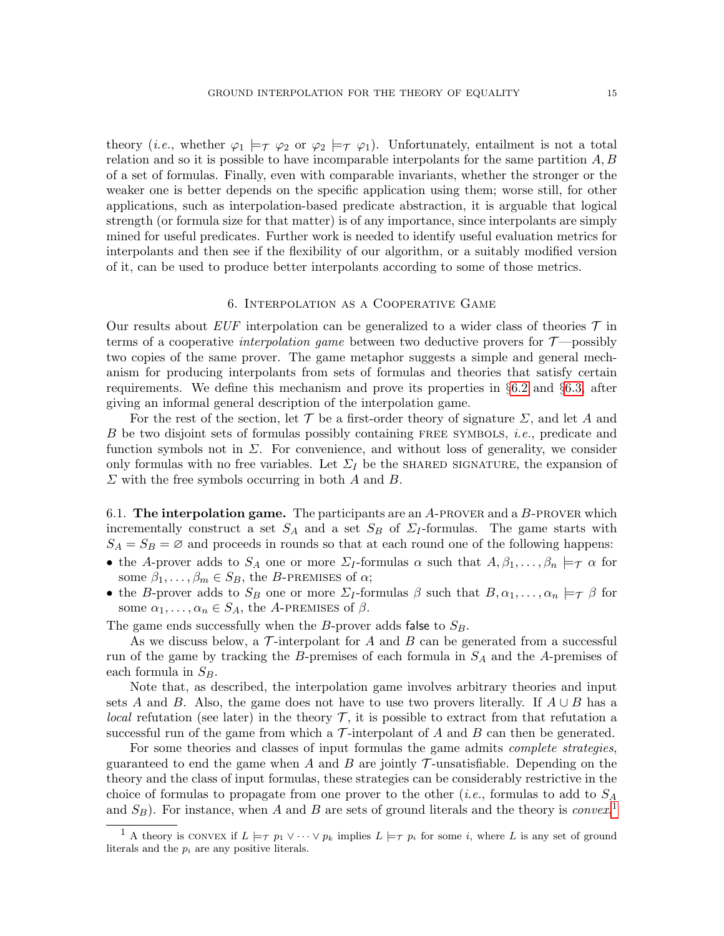theory (*i.e.*, whether  $\varphi_1 \models_{\mathcal{T}} \varphi_2$  or  $\varphi_2 \models_{\mathcal{T}} \varphi_1$ ). Unfortunately, entailment is not a total relation and so it is possible to have incomparable interpolants for the same partition  $A, B$ of a set of formulas. Finally, even with comparable invariants, whether the stronger or the weaker one is better depends on the specific application using them; worse still, for other applications, such as interpolation-based predicate abstraction, it is arguable that logical strength (or formula size for that matter) is of any importance, since interpolants are simply mined for useful predicates. Further work is needed to identify useful evaluation metrics for interpolants and then see if the flexibility of our algorithm, or a suitably modified version of it, can be used to produce better interpolants according to some of those metrics.

#### 6. Interpolation as a Cooperative Game

<span id="page-14-0"></span>Our results about EUF interpolation can be generalized to a wider class of theories  $\mathcal T$  in terms of a cooperative *interpolation game* between two deductive provers for  $\mathcal{T}$ —possibly two copies of the same prover. The game metaphor suggests a simple and general mechanism for producing interpolants from sets of formulas and theories that satisfy certain requirements. We define this mechanism and prove its properties in §[6.2](#page-16-0) and §[6.3,](#page-17-0) after giving an informal general description of the interpolation game.

For the rest of the section, let T be a first-order theory of signature  $\Sigma$ , and let A and B be two disjoint sets of formulas possibly containing FREE SYMBOLS, *i.e.*, predicate and function symbols not in  $\Sigma$ . For convenience, and without loss of generality, we consider only formulas with no free variables. Let  $\Sigma_I$  be the shared signature, the expansion of  $\Sigma$  with the free symbols occurring in both  $A$  and  $B$ .

6.1. The interpolation game. The participants are an  $A$ -PROVER and a  $B$ -PROVER which incrementally construct a set  $S_A$  and a set  $S_B$  of  $\Sigma_I$ -formulas. The game starts with  $S_A = S_B = \emptyset$  and proceeds in rounds so that at each round one of the following happens:

- the A-prover adds to  $S_A$  one or more  $\Sigma_I$ -formulas  $\alpha$  such that  $A, \beta_1, \ldots, \beta_n \models_{\mathcal{T}} \alpha$  for some  $\beta_1, \ldots, \beta_m \in S_B$ , the B-PREMISES of  $\alpha$ ;
- the B-prover adds to  $S_B$  one or more  $\Sigma_I$ -formulas  $\beta$  such that  $B, \alpha_1, \ldots, \alpha_n \models_{\mathcal{T}} \beta$  for some  $\alpha_1, \ldots, \alpha_n \in S_A$ , the A-PREMISES of  $\beta$ .

The game ends successfully when the B-prover adds false to  $S_B$ .

As we discuss below, a  $\mathcal T$ -interpolant for A and B can be generated from a successful run of the game by tracking the B-premises of each formula in  $S_A$  and the A-premises of each formula in  $S_B$ .

Note that, as described, the interpolation game involves arbitrary theories and input sets A and B. Also, the game does not have to use two provers literally. If  $A \cup B$  has a local refutation (see later) in the theory  $\mathcal{T}$ , it is possible to extract from that refutation a successful run of the game from which a  $\mathcal T$ -interpolant of A and B can then be generated.

For some theories and classes of input formulas the game admits *complete strategies*, guaranteed to end the game when A and B are jointly  $\mathcal T$ -unsatisfiable. Depending on the theory and the class of input formulas, these strategies can be considerably restrictive in the choice of formulas to propagate from one prover to the other (*i.e.*, formulas to add to  $S_A$ and  $S_B$ ). For instance, when A and B are sets of ground literals and the theory is convex,<sup>[1](#page-14-1)</sup>

<span id="page-14-1"></span><sup>&</sup>lt;sup>1</sup> A theory is CONVEX if  $L \models_{\tau} p_1 \vee \cdots \vee p_k$  implies  $L \models_{\tau} p_i$  for some *i*, where *L* is any set of ground literals and the  $p_i$  are any positive literals.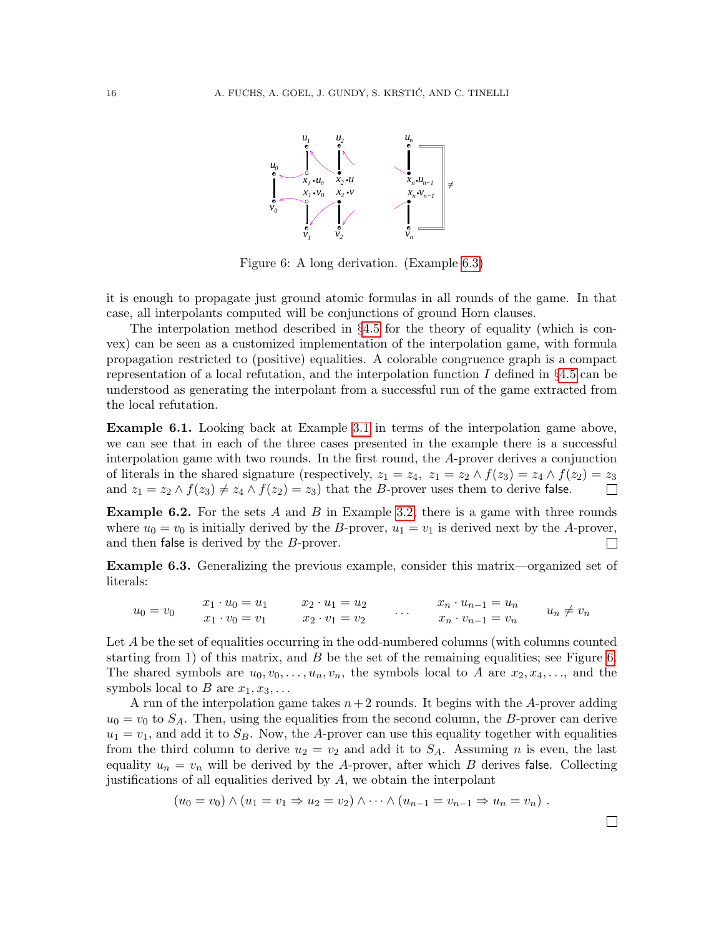

<span id="page-15-1"></span>Figure 6: A long derivation. (Example [6.3\)](#page-15-0)

it is enough to propagate just ground atomic formulas in all rounds of the game. In that case, all interpolants computed will be conjunctions of ground Horn clauses.

The interpolation method described in  $\S 4.5$  $\S 4.5$  for the theory of equality (which is convex) can be seen as a customized implementation of the interpolation game, with formula propagation restricted to (positive) equalities. A colorable congruence graph is a compact representation of a local refutation, and the interpolation function I defined in  $\S 4.5$  $\S 4.5$  can be understood as generating the interpolant from a successful run of the game extracted from the local refutation.

Example 6.1. Looking back at Example [3.1](#page-3-1) in terms of the interpolation game above, we can see that in each of the three cases presented in the example there is a successful interpolation game with two rounds. In the first round, the A-prover derives a conjunction of literals in the shared signature (respectively,  $z_1 = z_4$ ,  $z_1 = z_2 \wedge f(z_3) = z_4 \wedge f(z_2) = z_3$ and  $z_1 = z_2 \wedge f(z_3) \neq z_4 \wedge f(z_2) = z_3$  that the B-prover uses them to derive false.  $\Box$ 

**Example 6.2.** For the sets  $A$  and  $B$  in Example [3.2,](#page-3-4) there is a game with three rounds where  $u_0 = v_0$  is initially derived by the B-prover,  $u_1 = v_1$  is derived next by the A-prover, and then false is derived by the B-prover.  $\Box$ 

<span id="page-15-0"></span>Example 6.3. Generalizing the previous example, consider this matrix—organized set of literals:

$$
u_0 = v_0 \qquad\n \begin{array}{c}\n x_1 \cdot u_0 = u_1 \\
 x_1 \cdot v_0 = v_1\n \end{array}\n \qquad\n \begin{array}{c}\n x_2 \cdot u_1 = u_2 \\
 x_2 \cdot v_1 = v_2\n \end{array}\n \qquad\n \begin{array}{c}\n x_n \cdot u_{n-1} = u_n \\
 x_n \cdot v_{n-1} = v_n\n \end{array}\n \qquad\n u_n \neq v_n
$$

Let A be the set of equalities occurring in the odd-numbered columns (with columns counted starting from 1) of this matrix, and  $B$  be the set of the remaining equalities; see Figure [6.](#page-15-1) The shared symbols are  $u_0, v_0, \ldots, u_n, v_n$ , the symbols local to A are  $x_2, x_4, \ldots$ , and the symbols local to B are  $x_1, x_3, \ldots$ 

A run of the interpolation game takes  $n+2$  rounds. It begins with the A-prover adding  $u_0 = v_0$  to  $S_A$ . Then, using the equalities from the second column, the B-prover can derive  $u_1 = v_1$ , and add it to  $S_B$ . Now, the A-prover can use this equality together with equalities from the third column to derive  $u_2 = v_2$  and add it to  $S_A$ . Assuming n is even, the last equality  $u_n = v_n$  will be derived by the A-prover, after which B derives false. Collecting justifications of all equalities derived by A, we obtain the interpolant

$$
(u_0 = v_0) \wedge (u_1 = v_1 \Rightarrow u_2 = v_2) \wedge \cdots \wedge (u_{n-1} = v_{n-1} \Rightarrow u_n = v_n).
$$

 $\Box$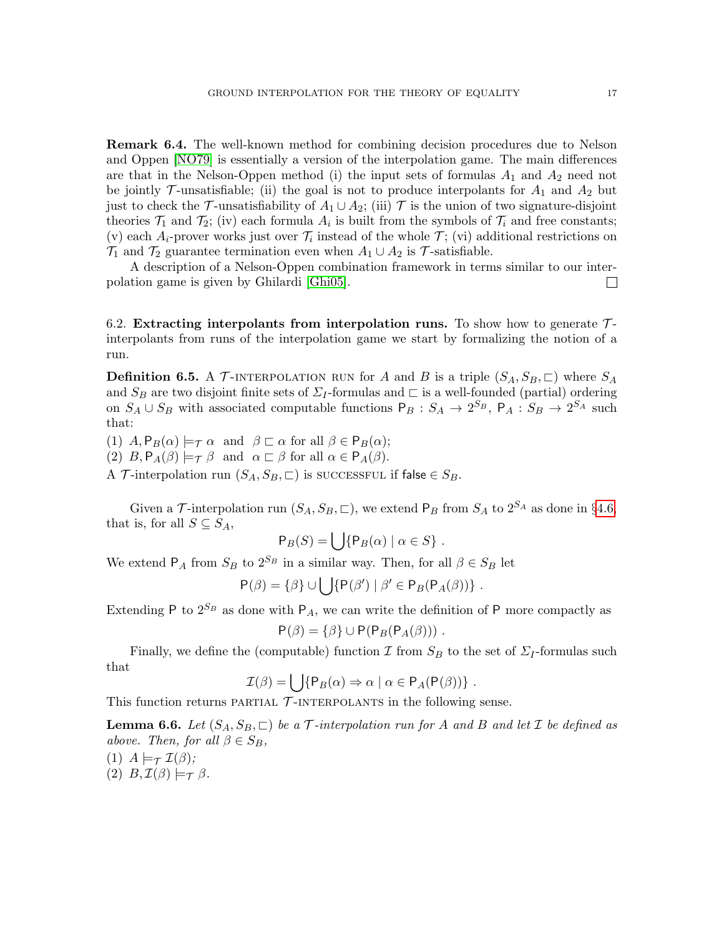Remark 6.4. The well-known method for combining decision procedures due to Nelson and Oppen [\[NO79\]](#page-22-8) is essentially a version of the interpolation game. The main differences are that in the Nelson-Oppen method (i) the input sets of formulas  $A_1$  and  $A_2$  need not be jointly  $\mathcal{T}$ -unsatisfiable; (ii) the goal is not to produce interpolants for  $A_1$  and  $A_2$  but just to check the T-unsatisfiability of  $A_1 \cup A_2$ ; (iii) T is the union of two signature-disjoint theories  $\mathcal{T}_1$  and  $\mathcal{T}_2$ ; (iv) each formula  $A_i$  is built from the symbols of  $\mathcal{T}_i$  and free constants; (v) each  $A_i$ -prover works just over  $\mathcal{T}_i$  instead of the whole  $\mathcal{T}$ ; (vi) additional restrictions on  $\mathcal{T}_1$  and  $\mathcal{T}_2$  guarantee termination even when  $A_1 \cup A_2$  is  $\mathcal{T}$ -satisfiable.

A description of a Nelson-Oppen combination framework in terms similar to our interpolation game is given by Ghilardi [\[Ghi05\]](#page-21-11).  $\Box$ 

<span id="page-16-0"></span>6.2. Extracting interpolants from interpolation runs. To show how to generate  $\mathcal{T}$ interpolants from runs of the interpolation game we start by formalizing the notion of a run.

<span id="page-16-2"></span>**Definition 6.5.** A  $\mathcal{T}$ -INTERPOLATION RUN for A and B is a triple  $(S_A, S_B, \square)$  where  $S_A$ and  $S_B$  are two disjoint finite sets of  $\Sigma_I$ -formulas and  $\Gamma$  is a well-founded (partial) ordering on  $S_A \cup S_B$  with associated computable functions  $P_B : S_A \to 2^{S_B}$ ,  $P_A : S_B \to 2^{S_A}$  such that:

(1)  $A, P_B(\alpha) \models_{\mathcal{T}} \alpha$  and  $\beta \sqsubset \alpha$  for all  $\beta \in P_B(\alpha);$ (2)  $B, P_A(\beta) \models_{\mathcal{T}} \beta$  and  $\alpha \sqsubset \beta$  for all  $\alpha \in P_A(\beta)$ . A T-interpolation run  $(S_A, S_B, \sqsubset)$  is successful if false  $\in S_B$ .

Given a T-interpolation run  $(S_A, S_B, \square)$ , we extend  $P_B$  from  $S_A$  to  $2^{S_A}$  as done in §[4.6,](#page-9-3) that is, for all  $S \subseteq S_A$ ,

$$
\mathsf{P}_B(S) = \bigcup \{ \mathsf{P}_B(\alpha) \mid \alpha \in S \} .
$$

We extend  $P_A$  from  $S_B$  to  $2^{S_B}$  in a similar way. Then, for all  $\beta \in S_B$  let

$$
P(\beta) = \{ \beta \} \cup \bigcup \{ P(\beta') \mid \beta' \in P_B(P_A(\beta)) \} .
$$

Extending P to  $2^{S_B}$  as done with P<sub>A</sub>, we can write the definition of P more compactly as

$$
P(\beta) = \{\beta\} \cup P(P_B(P_A(\beta))) .
$$

Finally, we define the (computable) function  $\mathcal I$  from  $S_B$  to the set of  $\mathcal L_I$ -formulas such that

$$
\mathcal{I}(\beta) = \bigcup \{ \mathsf{P}_B(\alpha) \Rightarrow \alpha \mid \alpha \in \mathsf{P}_A(\mathsf{P}(\beta)) \} .
$$

This function returns PARTIAL  $\mathcal T$ -INTERPOLANTS in the following sense.

<span id="page-16-1"></span>**Lemma 6.6.** Let  $(S_A, S_B, \sqsubset)$  be a T-interpolation run for A and B and let I be defined as above. Then, for all  $\beta \in S_B$ ,

(1)  $A \models_{\mathcal{T}} \mathcal{I}(\beta)$ : (2)  $B, \mathcal{I}(\beta) \models_{\mathcal{T}} \beta$ .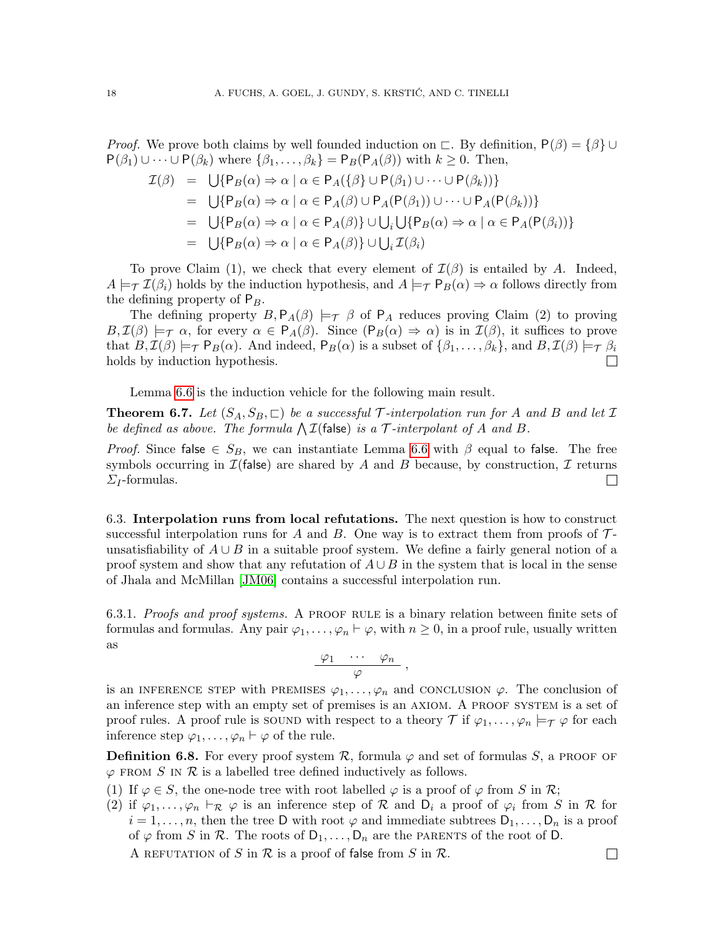*Proof.* We prove both claims by well founded induction on  $\subset$ . By definition,  $P(\beta) = {\beta} \cup$  $P(\beta_1) \cup \cdots \cup P(\beta_k)$  where  $\{\beta_1, \ldots, \beta_k\} = P_B(P_A(\beta))$  with  $k \geq 0$ . Then,

$$
\mathcal{I}(\beta) = \bigcup \{ P_B(\alpha) \Rightarrow \alpha \mid \alpha \in P_A(\{\beta\} \cup P(\beta_1) \cup \cdots \cup P(\beta_k)) \}
$$
  
\n
$$
= \bigcup \{ P_B(\alpha) \Rightarrow \alpha \mid \alpha \in P_A(\beta) \cup P_A(P(\beta_1)) \cup \cdots \cup P_A(P(\beta_k)) \}
$$
  
\n
$$
= \bigcup \{ P_B(\alpha) \Rightarrow \alpha \mid \alpha \in P_A(\beta) \} \cup \bigcup_i \bigcup \{ P_B(\alpha) \Rightarrow \alpha \mid \alpha \in P_A(P(\beta_i)) \}
$$
  
\n
$$
= \bigcup \{ P_B(\alpha) \Rightarrow \alpha \mid \alpha \in P_A(\beta) \} \cup \bigcup_i \mathcal{I}(\beta_i)
$$

To prove Claim (1), we check that every element of  $\mathcal{I}(\beta)$  is entailed by A. Indeed,  $A \models_{\mathcal{T}} \mathcal{I}(\beta_i)$  holds by the induction hypothesis, and  $A \models_{\mathcal{T}} \mathsf{P}_B(\alpha) \Rightarrow \alpha$  follows directly from the defining property of  $P_B$ .

The defining property  $B, P_A(\beta) \models_{\mathcal{T}} \beta$  of  $P_A$  reduces proving Claim (2) to proving  $B, \mathcal{I}(\beta) \models_{\mathcal{T}} \alpha$ , for every  $\alpha \in \mathsf{P}_A(\beta)$ . Since  $(\mathsf{P}_B(\alpha) \Rightarrow \alpha)$  is in  $\mathcal{I}(\beta)$ , it suffices to prove that  $B, \mathcal{I}(\beta) \models_{\mathcal{T}} P_B(\alpha)$ . And indeed,  $P_B(\alpha)$  is a subset of  $\{\beta_1, \ldots, \beta_k\}$ , and  $B, \mathcal{I}(\beta) \models_{\mathcal{T}} \beta_i$ holds by induction hypothesis.

Lemma [6.6](#page-16-1) is the induction vehicle for the following main result.

**Theorem 6.7.** Let  $(S_A, S_B, \sqsubset)$  be a successful T-interpolation run for A and B and let I be defined as above. The formula  $\bigwedge \mathcal{I}$  (false) is a  $\mathcal{T}\text{-interpolant of }A$  and  $B$ .

*Proof.* Since false  $\in S_B$ , we can instantiate Lemma [6.6](#page-16-1) with  $\beta$  equal to false. The free symbols occurring in  $\mathcal{I}(\mathsf{false})$  are shared by A and B because, by construction, I returns  $\Sigma_I$ -formulas.  $\Box$ 

<span id="page-17-0"></span>6.3. Interpolation runs from local refutations. The next question is how to construct successful interpolation runs for A and B. One way is to extract them from proofs of  $\mathcal{T}$ unsatisfiability of  $A \cup B$  in a suitable proof system. We define a fairly general notion of a proof system and show that any refutation of  $A \cup B$  in the system that is local in the sense of Jhala and McMillan [\[JM06\]](#page-21-6) contains a successful interpolation run.

6.3.1. Proofs and proof systems. A PROOF RULE is a binary relation between finite sets of formulas and formulas. Any pair  $\varphi_1, \ldots, \varphi_n \vdash \varphi$ , with  $n \geq 0$ , in a proof rule, usually written as

$$
\frac{\varphi_1 \cdots \varphi_n}{\varphi},
$$

is an INFERENCE STEP with PREMISES  $\varphi_1, \ldots, \varphi_n$  and CONCLUSION  $\varphi$ . The conclusion of an inference step with an empty set of premises is an AXIOM. A PROOF SYSTEM is a set of proof rules. A proof rule is sound with respect to a theory  $\mathcal T$  if  $\varphi_1,\ldots,\varphi_n\models_{\mathcal T}\varphi$  for each inference step  $\varphi_1, \ldots, \varphi_n \vdash \varphi$  of the rule.

**Definition 6.8.** For every proof system  $\mathcal{R}$ , formula  $\varphi$  and set of formulas S, a PROOF OF  $\varphi$  from S in R is a labelled tree defined inductively as follows.

- (1) If  $\varphi \in S$ , the one-node tree with root labelled  $\varphi$  is a proof of  $\varphi$  from S in R;
- (2) if  $\varphi_1,\ldots,\varphi_n\vdash_{\mathcal{R}}\varphi$  is an inference step of  $\mathcal R$  and  $D_i$  a proof of  $\varphi_i$  from S in  $\mathcal R$  for  $i = 1, \ldots, n$ , then the tree D with root  $\varphi$  and immediate subtrees  $D_1, \ldots, D_n$  is a proof of  $\varphi$  from S in R. The roots of  $D_1, \ldots, D_n$  are the PARENTS of the root of D.

A REFUTATION of S in  $\mathcal R$  is a proof of false from S in  $\mathcal R$ .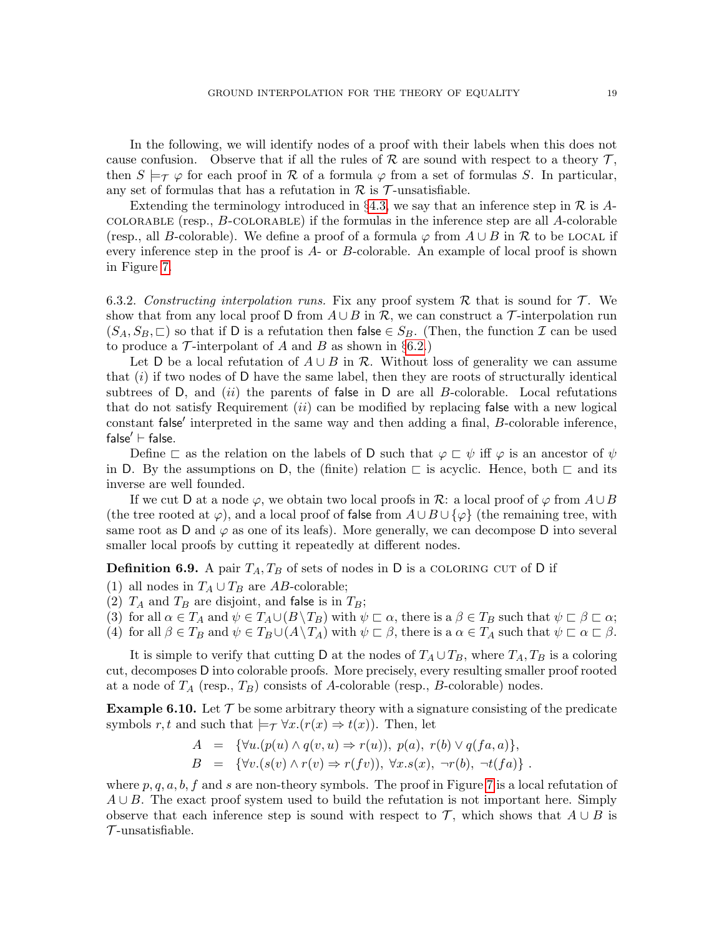In the following, we will identify nodes of a proof with their labels when this does not cause confusion. Observe that if all the rules of R are sound with respect to a theory  $\mathcal{T}$ , then  $S \models_{\tau} \varphi$  for each proof in R of a formula  $\varphi$  from a set of formulas S. In particular, any set of formulas that has a refutation in  $\mathcal R$  is  $\mathcal T$ -unsatisfiable.

Extending the terminology introduced in §[4.3,](#page-5-3) we say that an inference step in  $\mathcal R$  is Acolorable (resp., B-colorable) if the formulas in the inference step are all A-colorable (resp., all B-colorable). We define a proof of a formula  $\varphi$  from  $A \cup B$  in R to be LOCAL if every inference step in the proof is A- or B-colorable. An example of local proof is shown in Figure [7.](#page-19-0)

<span id="page-18-1"></span>6.3.2. Constructing interpolation runs. Fix any proof system R that is sound for  $\mathcal{T}$ . We show that from any local proof D from  $A \cup B$  in R, we can construct a T-interpolation run  $(S_A, S_B, \sqsubset)$  so that if D is a refutation then false  $\in S_B$ . (Then, the function  $\mathcal I$  can be used to produce a  $\mathcal T$ -interpolant of A and B as shown in §[6.2.](#page-16-0))

Let D be a local refutation of  $A \cup B$  in R. Without loss of generality we can assume that  $(i)$  if two nodes of D have the same label, then they are roots of structurally identical subtrees of D, and  $(ii)$  the parents of false in D are all B-colorable. Local refutations that do not satisfy Requirement  $(ii)$  can be modified by replacing false with a new logical constant false' interpreted in the same way and then adding a final, B-colorable inference, false $' \vdash$  false.

Define  $\sqsubset$  as the relation on the labels of D such that  $\varphi \sqsubset \psi$  iff  $\varphi$  is an ancestor of  $\psi$ in D. By the assumptions on D, the (finite) relation  $\Box$  is acyclic. Hence, both  $\Box$  and its inverse are well founded.

If we cut D at a node  $\varphi$ , we obtain two local proofs in R: a local proof of  $\varphi$  from  $A \cup B$ (the tree rooted at  $\varphi$ ), and a local proof of false from  $A \cup B \cup {\varphi}$  (the remaining tree, with same root as D and  $\varphi$  as one of its leafs). More generally, we can decompose D into several smaller local proofs by cutting it repeatedly at different nodes.

**Definition 6.9.** A pair  $T_A, T_B$  of sets of nodes in D is a COLORING CUT of D if

(1) all nodes in  $T_A \cup T_B$  are AB-colorable;

(2)  $T_A$  and  $T_B$  are disjoint, and false is in  $T_B$ ;

(3) for all  $\alpha \in T_A$  and  $\psi \in T_A \cup (B \setminus T_B)$  with  $\psi \subset \alpha$ , there is  $a \beta \in T_B$  such that  $\psi \subset \beta \subset \alpha$ ; (4) for all  $\beta \in T_B$  and  $\psi \in T_B \cup (A \setminus T_A)$  with  $\psi \subset \beta$ , there is a  $\alpha \in T_A$  such that  $\psi \subset \alpha \subset \beta$ .

It is simple to verify that cutting D at the nodes of  $T_A \cup T_B$ , where  $T_A, T_B$  is a coloring cut, decomposes D into colorable proofs. More precisely, every resulting smaller proof rooted at a node of  $T_A$  (resp.,  $T_B$ ) consists of A-colorable (resp., B-colorable) nodes.

<span id="page-18-0"></span>**Example 6.10.** Let  $\mathcal{T}$  be some arbitrary theory with a signature consisting of the predicate symbols r, t and such that  $\models_\mathcal{T} \forall x. (r(x) \Rightarrow t(x))$ . Then, let

$$
A = {\forall u.(p(u) \land q(v, u) \Rightarrow r(u)), p(a), r(b) \lor q(fa, a)},
$$

$$
B = \{ \forall v. (s(v) \land r(v) \Rightarrow r(fv)), \forall x. s(x), \neg r(b), \neg t(fa) \} .
$$

where  $p, q, a, b, f$  and s are non-theory symbols. The proof in Figure [7](#page-19-0) is a local refutation of  $A \cup B$ . The exact proof system used to build the refutation is not important here. Simply observe that each inference step is sound with respect to  $\mathcal{T}$ , which shows that  $A \cup B$  is  $\mathcal T$ -unsatisfiable.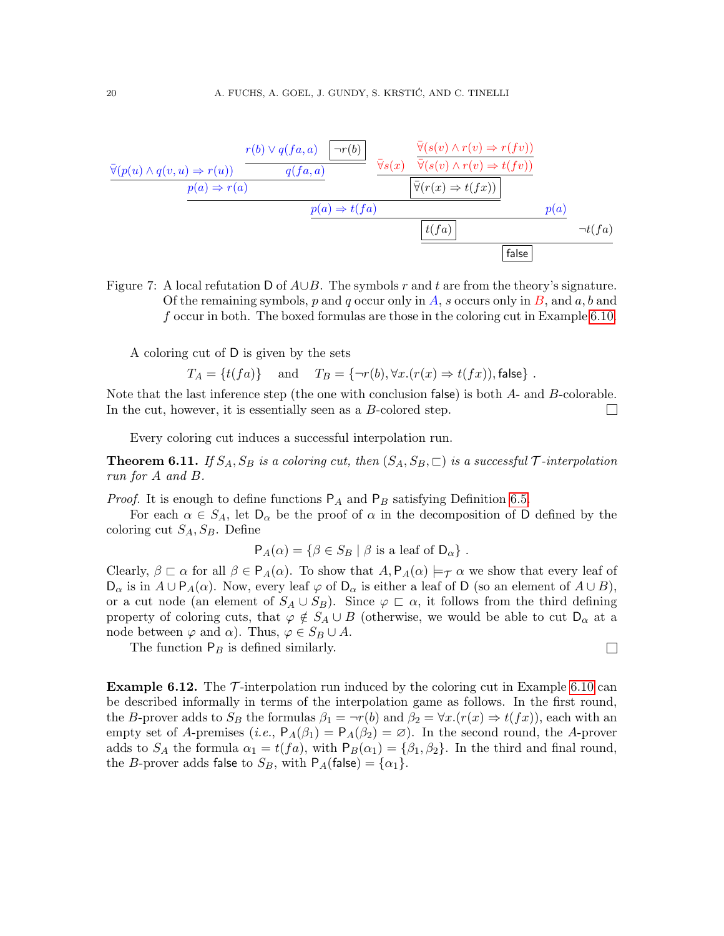$$
\frac{\overline{\forall}(p(u) \land q(v, u) \Rightarrow r(u)) \qquad \qquad \qquad \frac{r(b) \lor q(fa, a) \qquad \neg r(b)}{q(fa, a)} \qquad \qquad \frac{\overline{\forall}(s(v) \land r(v) \Rightarrow r(fv))}{\overline{\forall}(s(v) \land r(v) \Rightarrow t(fv))} \qquad \qquad \frac{p(a) \Rightarrow r(a) \qquad \qquad \boxed{\overline{\forall}(r(x) \Rightarrow t(fx))} \qquad \qquad \frac{p(a) \Rightarrow t(fa) \qquad \qquad \boxed{t(fa)} \qquad \qquad \qquad \frac{r(fa)}{f(a)}
$$

<span id="page-19-0"></span>Figure 7: A local refutation D of  $A\cup B$ . The symbols r and t are from the theory's signature. Of the remaining symbols, p and q occur only in A, s occurs only in B, and  $a, b$  and f occur in both. The boxed formulas are those in the coloring cut in Example [6.10.](#page-18-0)

A coloring cut of D is given by the sets

$$
T_A = \{t(fa)\}\
$$
 and  $T_B = \{\neg r(b), \forall x. (r(x) \Rightarrow t(fx)), \text{false}\}.$ 

Note that the last inference step (the one with conclusion false) is both A- and B-colorable. In the cut, however, it is essentially seen as a B-colored step.  $\Box$ 

Every coloring cut induces a successful interpolation run.

**Theorem 6.11.** If  $S_A$ ,  $S_B$  is a coloring cut, then  $(S_A, S_B, \sqsubset)$  is a successful  $\mathcal{T}\text{-}interpolation$ run for A and B.

*Proof.* It is enough to define functions  $P_A$  and  $P_B$  satisfying Definition [6.5.](#page-16-2)

For each  $\alpha \in S_A$ , let  $D_{\alpha}$  be the proof of  $\alpha$  in the decomposition of D defined by the coloring cut  $S_A$ ,  $S_B$ . Define

$$
P_A(\alpha) = \{ \beta \in S_B \mid \beta \text{ is a leaf of } D_{\alpha} \} .
$$

Clearly,  $\beta \subset \alpha$  for all  $\beta \in P_A(\alpha)$ . To show that  $A, P_A(\alpha) \models_{\mathcal{T}} \alpha$  we show that every leaf of  $D_{\alpha}$  is in  $A \cup P_A(\alpha)$ . Now, every leaf  $\varphi$  of  $D_{\alpha}$  is either a leaf of D (so an element of  $A \cup B$ ), or a cut node (an element of  $S_A \cup S_B$ ). Since  $\varphi \subset \alpha$ , it follows from the third defining property of coloring cuts, that  $\varphi \notin S_A \cup B$  (otherwise, we would be able to cut  $D_{\alpha}$  at a node between  $\varphi$  and  $\alpha$ ). Thus,  $\varphi \in S_B \cup A$ .

 $\Box$ 

The function  $P_B$  is defined similarly.

**Example 6.12.** The  $\mathcal{T}$ -interpolation run induced by the coloring cut in Example [6.10](#page-18-0) can be described informally in terms of the interpolation game as follows. In the first round, the B-prover adds to  $S_B$  the formulas  $\beta_1 = \neg r(b)$  and  $\beta_2 = \forall x.(r(x) \Rightarrow t(fx))$ , each with an empty set of A-premises (i.e.,  $P_A(\beta_1) = P_A(\beta_2) = \emptyset$ ). In the second round, the A-prover adds to  $S_A$  the formula  $\alpha_1 = t(fa)$ , with  $P_B(\alpha_1) = {\beta_1, \beta_2}$ . In the third and final round, the *B*-prover adds false to  $S_B$ , with  $P_A$ (false) = { $\alpha_1$ }.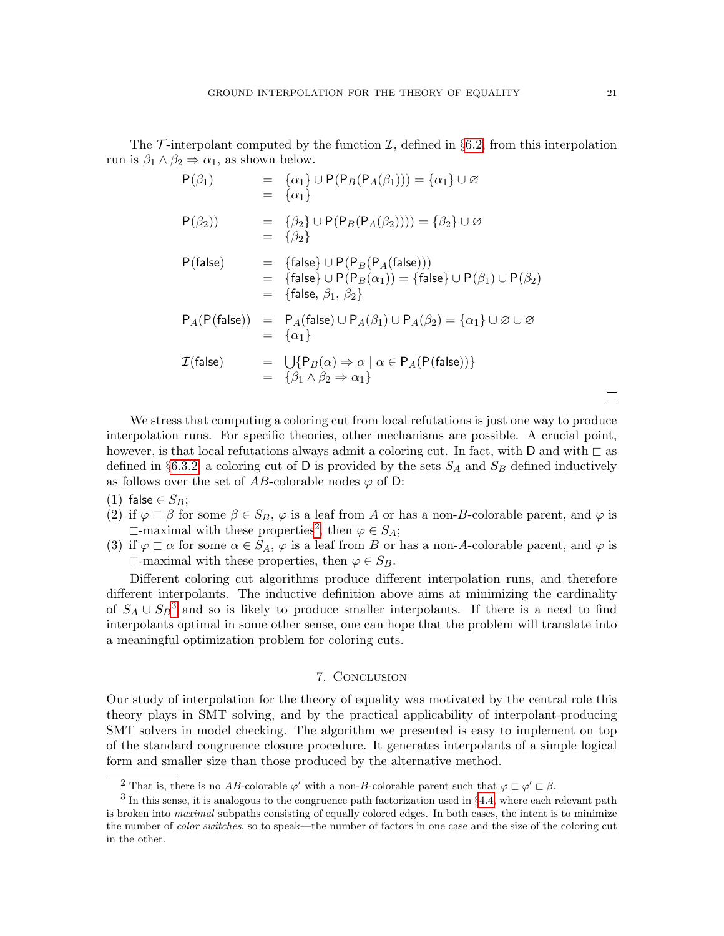The  $\mathcal T$ -interpolant computed by the function  $\mathcal I$ , defined in §[6.2,](#page-16-0) from this interpolation run is  $\beta_1 \wedge \beta_2 \Rightarrow \alpha_1$ , as shown below.

$$
P(\beta_1) = {\alpha_1} \cup P(P_B(P_A(\beta_1))) = {\alpha_1} \cup \emptyset
$$
  
\n
$$
= {\alpha_1}
$$
  
\n
$$
P(\beta_2)) = {\beta_2} \cup P(P_B(P_A(\beta_2)))) = {\beta_2} \cup \emptyset
$$
  
\n
$$
= {\beta_2}
$$
  
\n
$$
P(\text{false}) = {\text{false}} \cup P(P_B(P_A(\text{false})))
$$
  
\n
$$
= {\text{false}} \cup P(P_B(P_A(\text{false})))
$$
  
\n
$$
= {\text{false}}, \emptyset_1, \emptyset_2
$$
  
\n
$$
P_A(P(\text{false})) = P_A(\text{false}) \cup P_A(\emptyset_1) \cup P_A(\emptyset_2) = {\alpha_1} \cup \emptyset \cup \emptyset
$$
  
\n
$$
= {\alpha_1}
$$
  
\n
$$
\mathcal{I}(\text{false}) = \bigcup \{P_B(\alpha) \Rightarrow \alpha \mid \alpha \in P_A(P(\text{false}))\}
$$
  
\n
$$
= {\beta_1} \wedge \beta_2 \Rightarrow \alpha_1
$$

We stress that computing a coloring cut from local refutations is just one way to produce interpolation runs. For specific theories, other mechanisms are possible. A crucial point, however, is that local refutations always admit a coloring cut. In fact, with D and with  $\Box$  as defined in §[6.3.2,](#page-18-1) a coloring cut of D is provided by the sets  $S_A$  and  $S_B$  defined inductively as follows over the set of AB-colorable nodes  $\varphi$  of D:

- (1) false  $\in S_B$ ;
- (2) if  $\varphi \sqsubset \beta$  for some  $\beta \in S_B$ ,  $\varphi$  is a leaf from A or has a non-B-colorable parent, and  $\varphi$  is  $\Box$ -maximal with these properties<sup>[2](#page-20-0)</sup>, then  $\varphi \in S_A$ ;
- (3) if  $\varphi \sqsubset \alpha$  for some  $\alpha \in S_A$ ,  $\varphi$  is a leaf from B or has a non-A-colorable parent, and  $\varphi$  is  $\Box$ -maximal with these properties, then  $\varphi \in S_B$ .

Different coloring cut algorithms produce different interpolation runs, and therefore different interpolants. The inductive definition above aims at minimizing the cardinality of  $S_A \cup S_B^3$  $S_A \cup S_B^3$  and so is likely to produce smaller interpolants. If there is a need to find interpolants optimal in some other sense, one can hope that the problem will translate into a meaningful optimization problem for coloring cuts.

## 7. Conclusion

Our study of interpolation for the theory of equality was motivated by the central role this theory plays in SMT solving, and by the practical applicability of interpolant-producing SMT solvers in model checking. The algorithm we presented is easy to implement on top of the standard congruence closure procedure. It generates interpolants of a simple logical form and smaller size than those produced by the alternative method.

 $\Box$ 

<span id="page-20-1"></span><span id="page-20-0"></span><sup>&</sup>lt;sup>2</sup> That is, there is no AB-colorable  $\varphi'$  with a non-B-colorable parent such that  $\varphi \sqsubset \varphi' \sqsubset \beta$ .

 $3$  In this sense, it is analogous to the congruence path factorization used in  $\S 4.4$ , where each relevant path is broken into *maximal* subpaths consisting of equally colored edges. In both cases, the intent is to minimize the number of *color switches*, so to speak—the number of factors in one case and the size of the coloring cut in the other.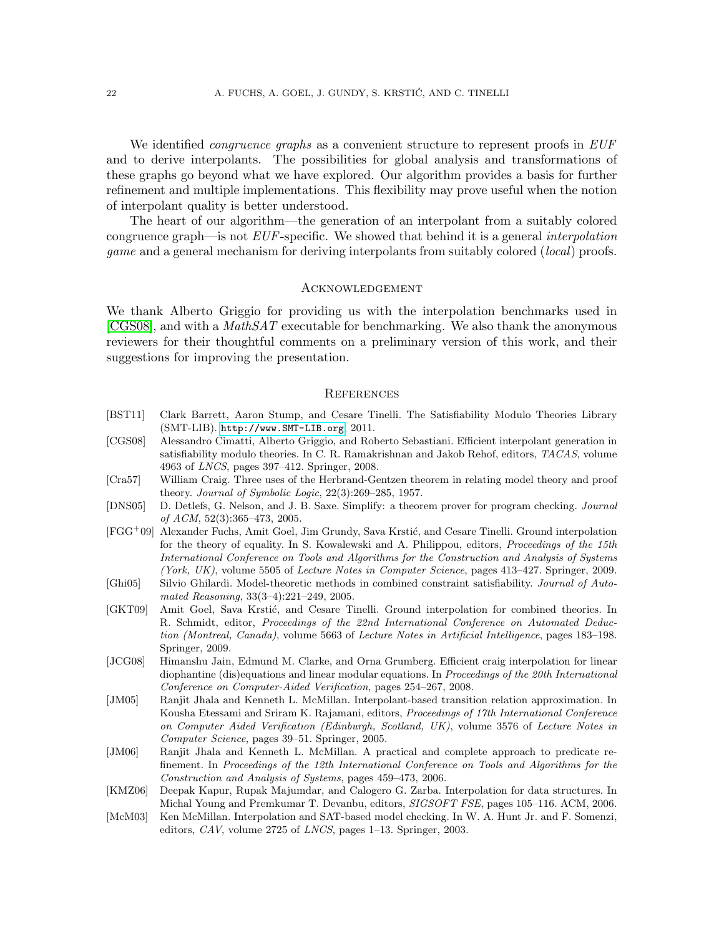We identified *congruence graphs* as a convenient structure to represent proofs in EUF and to derive interpolants. The possibilities for global analysis and transformations of these graphs go beyond what we have explored. Our algorithm provides a basis for further refinement and multiple implementations. This flexibility may prove useful when the notion of interpolant quality is better understood.

The heart of our algorithm—the generation of an interpolant from a suitably colored congruence graph—is not  $EUF$ -specific. We showed that behind it is a general *interpolation* game and a general mechanism for deriving interpolants from suitably colored (local) proofs.

#### Acknowledgement

We thank Alberto Griggio for providing us with the interpolation benchmarks used in  $[CGS08]$ , and with a *MathSAT* executable for benchmarking. We also thank the anonymous reviewers for their thoughtful comments on a preliminary version of this work, and their suggestions for improving the presentation.

#### **REFERENCES**

- <span id="page-21-9"></span>[BST11] Clark Barrett, Aaron Stump, and Cesare Tinelli. The Satisfiability Modulo Theories Library (SMT-LIB). <http://www.SMT-LIB.org>, 2011.
- <span id="page-21-3"></span>[CGS08] Alessandro Cimatti, Alberto Griggio, and Roberto Sebastiani. Efficient interpolant generation in satisfiability modulo theories. In C. R. Ramakrishnan and Jakob Rehof, editors, TACAS, volume 4963 of LNCS, pages 397–412. Springer, 2008.
- <span id="page-21-0"></span>[Cra57] William Craig. Three uses of the Herbrand-Gentzen theorem in relating model theory and proof theory. Journal of Symbolic Logic, 22(3):269–285, 1957.
- <span id="page-21-7"></span>[DNS05] D. Detlefs, G. Nelson, and J. B. Saxe. Simplify: a theorem prover for program checking. Journal of ACM, 52(3):365–473, 2005.
- <span id="page-21-4"></span>[FGG<sup>+</sup>09] Alexander Fuchs, Amit Goel, Jim Grundy, Sava Krsti´c, and Cesare Tinelli. Ground interpolation for the theory of equality. In S. Kowalewski and A. Philippou, editors, Proceedings of the 15th International Conference on Tools and Algorithms for the Construction and Analysis of Systems (York, UK), volume 5505 of Lecture Notes in Computer Science, pages 413–427. Springer, 2009.
- <span id="page-21-11"></span>[Ghi05] Silvio Ghilardi. Model-theoretic methods in combined constraint satisfiability. Journal of Automated Reasoning, 33(3–4):221–249, 2005.
- <span id="page-21-8"></span>[GKT09] Amit Goel, Sava Krstić, and Cesare Tinelli. Ground interpolation for combined theories. In R. Schmidt, editor, Proceedings of the 22nd International Conference on Automated Deduction (Montreal, Canada), volume 5663 of Lecture Notes in Artificial Intelligence, pages 183–198. Springer, 2009.
- <span id="page-21-10"></span>[JCG08] Himanshu Jain, Edmund M. Clarke, and Orna Grumberg. Efficient craig interpolation for linear diophantine (dis)equations and linear modular equations. In Proceedings of the 20th International Conference on Computer-Aided Verification, pages 254–267, 2008.
- <span id="page-21-5"></span>[JM05] Ranjit Jhala and Kenneth L. McMillan. Interpolant-based transition relation approximation. In Kousha Etessami and Sriram K. Rajamani, editors, Proceedings of 17th International Conference on Computer Aided Verification (Edinburgh, Scotland, UK), volume 3576 of Lecture Notes in Computer Science, pages 39–51. Springer, 2005.
- <span id="page-21-6"></span>[JM06] Ranjit Jhala and Kenneth L. McMillan. A practical and complete approach to predicate refinement. In Proceedings of the 12th International Conference on Tools and Algorithms for the Construction and Analysis of Systems, pages 459–473, 2006.
- <span id="page-21-2"></span>[KMZ06] Deepak Kapur, Rupak Majumdar, and Calogero G. Zarba. Interpolation for data structures. In Michal Young and Premkumar T. Devanbu, editors, SIGSOFT FSE, pages 105–116. ACM, 2006.
- <span id="page-21-1"></span>[McM03] Ken McMillan. Interpolation and SAT-based model checking. In W. A. Hunt Jr. and F. Somenzi, editors, CAV, volume 2725 of LNCS, pages 1–13. Springer, 2003.